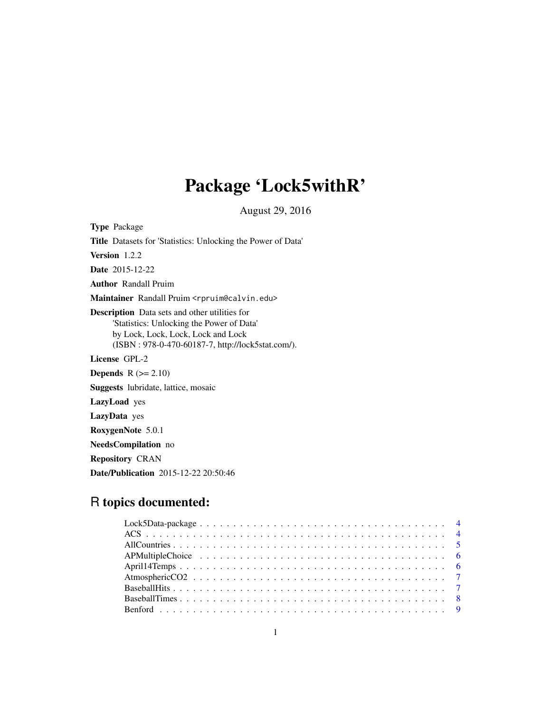# Package 'Lock5withR'

August 29, 2016

Type Package Title Datasets for 'Statistics: Unlocking the Power of Data' Version 1.2.2 Date 2015-12-22 Author Randall Pruim Maintainer Randall Pruim <rpruim@calvin.edu> Description Data sets and other utilities for 'Statistics: Unlocking the Power of Data' by Lock, Lock, Lock, Lock and Lock (ISBN : 978-0-470-60187-7, http://lock5stat.com/). License GPL-2 **Depends**  $R$  ( $>= 2.10$ ) Suggests lubridate, lattice, mosaic LazyLoad yes LazyData yes RoxygenNote 5.0.1 NeedsCompilation no

Repository CRAN

Date/Publication 2015-12-22 20:50:46

# R topics documented: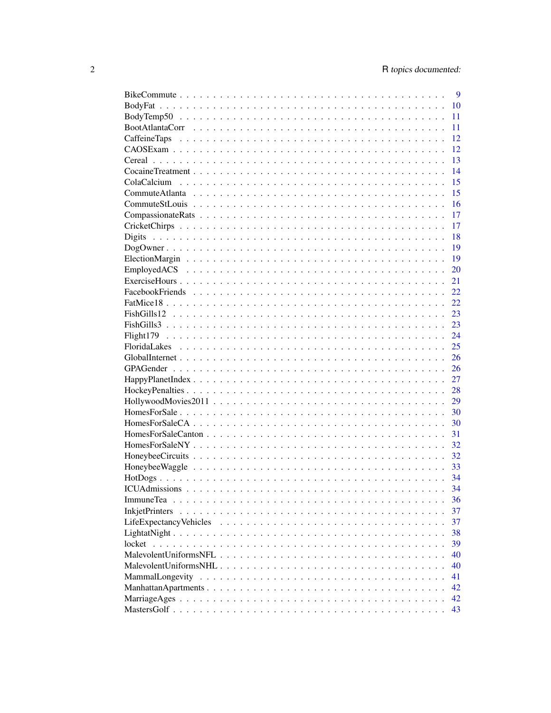|             | 9   |
|-------------|-----|
|             | 10  |
|             | 11  |
|             | 11  |
|             | 12  |
|             | 12  |
|             | 13  |
|             | 14  |
| ColaCalcium | 15  |
|             | 15  |
|             | 16  |
|             | 17  |
|             | 17  |
|             | 18  |
|             | 19  |
|             | 19  |
|             | 20  |
|             | 21  |
|             | 22. |
|             | 22. |
|             |     |
|             | 23  |
|             | 23  |
|             | 24  |
|             | 25  |
|             | 26  |
|             | 26  |
|             | 27  |
|             | 28  |
|             | 29  |
|             | 30  |
|             | 30  |
|             | 31  |
|             | 32  |
|             | 32  |
|             | 33  |
|             | 34  |
|             | 34  |
|             | 36  |
|             | 37  |
|             | 37  |
|             | 38  |
|             | 39  |
|             | 40  |
|             | 40  |
|             | 41  |
|             | 42  |
|             | 42  |
|             | 43  |
|             |     |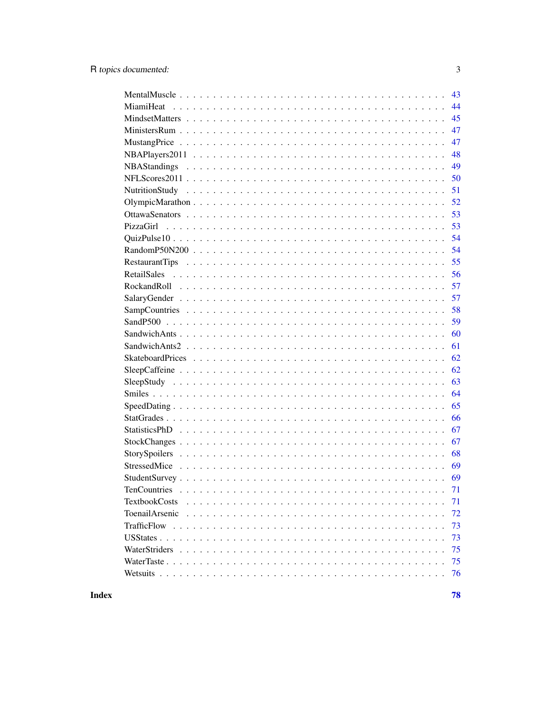|                      | 43 |
|----------------------|----|
|                      | 44 |
|                      | 45 |
|                      | 47 |
|                      | 47 |
|                      | 48 |
|                      | 49 |
|                      | 50 |
|                      | 51 |
|                      | 52 |
|                      | 53 |
|                      | 53 |
|                      | 54 |
|                      | 54 |
|                      | 55 |
|                      | 56 |
|                      | 57 |
|                      | 57 |
|                      | 58 |
|                      | 59 |
|                      | 60 |
|                      | 61 |
|                      | 62 |
|                      | 62 |
|                      | 63 |
|                      | 64 |
|                      | 65 |
|                      | 66 |
|                      | 67 |
|                      | 67 |
|                      | 68 |
|                      | 69 |
|                      | 69 |
|                      | 71 |
| <b>TextbookCosts</b> | 71 |
| ToenailArsenic       | 72 |
|                      | 73 |
|                      | 73 |
|                      | 75 |
|                      | 75 |
|                      | 76 |
|                      |    |

78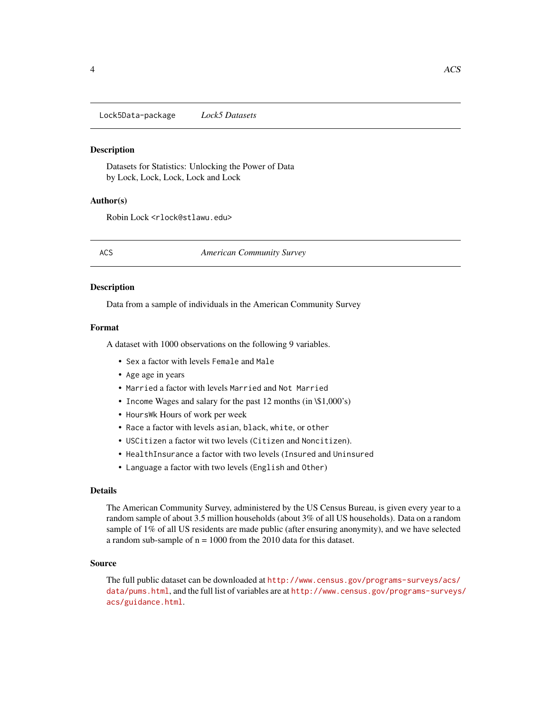<span id="page-3-0"></span>Lock5Data-package *Lock5 Datasets*

#### **Description**

Datasets for Statistics: Unlocking the Power of Data by Lock, Lock, Lock, Lock and Lock

#### Author(s)

Robin Lock <rlock@stlawu.edu>

ACS *American Community Survey*

#### Description

Data from a sample of individuals in the American Community Survey

#### Format

A dataset with 1000 observations on the following 9 variables.

- Sex a factor with levels Female and Male
- Age age in years
- Married a factor with levels Married and Not Married
- Income Wages and salary for the past 12 months (in \\$1,000's)
- HoursWk Hours of work per week
- Race a factor with levels asian, black, white, or other
- USCitizen a factor wit two levels (Citizen and Noncitizen).
- HealthInsurance a factor with two levels (Insured and Uninsured
- Language a factor with two levels (English and Other)

# Details

The American Community Survey, administered by the US Census Bureau, is given every year to a random sample of about 3.5 million households (about 3% of all US households). Data on a random sample of 1% of all US residents are made public (after ensuring anonymity), and we have selected a random sub-sample of  $n = 1000$  from the 2010 data for this dataset.

#### Source

The full public dataset can be downloaded at [http://www.census.gov/programs-surveys/acs/](http://www.census.gov/programs-surveys/acs/data/pums.html) [data/pums.html](http://www.census.gov/programs-surveys/acs/data/pums.html), and the full list of variables are at [http://www.census.gov/programs-surveys](http://www.census.gov/programs-surveys/acs/guidance.html)/ [acs/guidance.html](http://www.census.gov/programs-surveys/acs/guidance.html).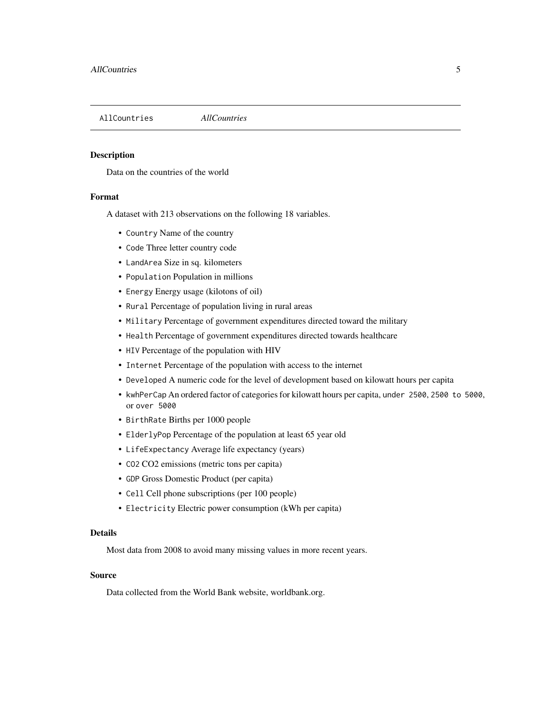<span id="page-4-0"></span>AllCountries *AllCountries*

#### Description

Data on the countries of the world

#### Format

A dataset with 213 observations on the following 18 variables.

- Country Name of the country
- Code Three letter country code
- LandArea Size in sq. kilometers
- Population Population in millions
- Energy Energy usage (kilotons of oil)
- Rural Percentage of population living in rural areas
- Military Percentage of government expenditures directed toward the military
- Health Percentage of government expenditures directed towards healthcare
- HIV Percentage of the population with HIV
- Internet Percentage of the population with access to the internet
- Developed A numeric code for the level of development based on kilowatt hours per capita
- kwhPerCap An ordered factor of categories for kilowatt hours per capita, under 2500, 2500 to 5000, or over 5000
- BirthRate Births per 1000 people
- ElderlyPop Percentage of the population at least 65 year old
- LifeExpectancy Average life expectancy (years)
- CO2 CO2 emissions (metric tons per capita)
- GDP Gross Domestic Product (per capita)
- Cell Cell phone subscriptions (per 100 people)
- Electricity Electric power consumption (kWh per capita)

#### Details

Most data from 2008 to avoid many missing values in more recent years.

#### Source

Data collected from the World Bank website, worldbank.org.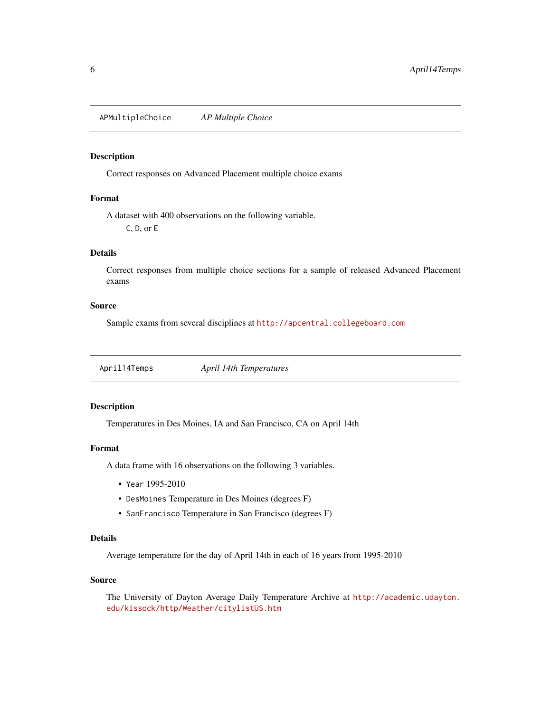<span id="page-5-0"></span>APMultipleChoice *AP Multiple Choice*

#### Description

Correct responses on Advanced Placement multiple choice exams

# Format

A dataset with 400 observations on the following variable. C, D, or E

# Details

Correct responses from multiple choice sections for a sample of released Advanced Placement exams

#### Source

Sample exams from several disciplines at <http://apcentral.collegeboard.com>

April14Temps *April 14th Temperatures*

# Description

Temperatures in Des Moines, IA and San Francisco, CA on April 14th

#### Format

A data frame with 16 observations on the following 3 variables.

- Year 1995-2010
- DesMoines Temperature in Des Moines (degrees F)
- SanFrancisco Temperature in San Francisco (degrees F)

# Details

Average temperature for the day of April 14th in each of 16 years from 1995-2010

# Source

The University of Dayton Average Daily Temperature Archive at [http://academic.udayton.](http://academic.udayton.edu/kissock/http/Weather/citylistUS.htm) [edu/kissock/http/Weather/citylistUS.htm](http://academic.udayton.edu/kissock/http/Weather/citylistUS.htm)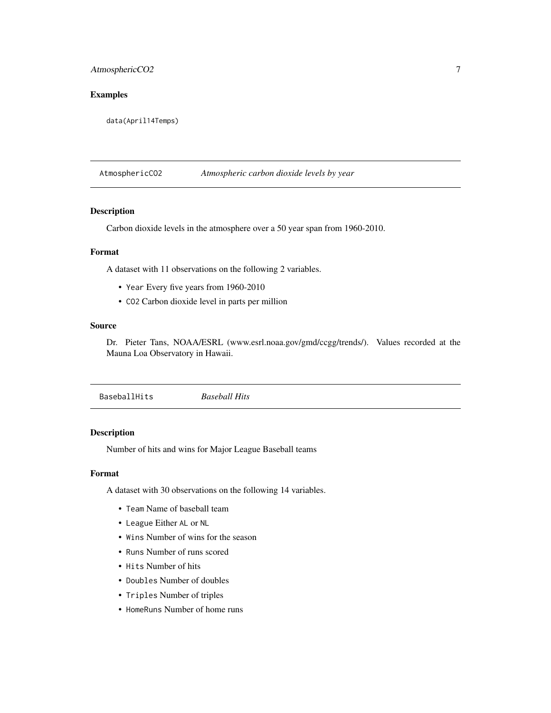# <span id="page-6-0"></span>AtmosphericCO2 7

# Examples

data(April14Temps)

AtmosphericCO2 *Atmospheric carbon dioxide levels by year*

#### Description

Carbon dioxide levels in the atmosphere over a 50 year span from 1960-2010.

# Format

A dataset with 11 observations on the following 2 variables.

- Year Every five years from 1960-2010
- CO2 Carbon dioxide level in parts per million

# Source

Dr. Pieter Tans, NOAA/ESRL (www.esrl.noaa.gov/gmd/ccgg/trends/). Values recorded at the Mauna Loa Observatory in Hawaii.

BaseballHits *Baseball Hits*

#### Description

Number of hits and wins for Major League Baseball teams

# Format

A dataset with 30 observations on the following 14 variables.

- Team Name of baseball team
- League Either AL or NL
- Wins Number of wins for the season
- Runs Number of runs scored
- Hits Number of hits
- Doubles Number of doubles
- Triples Number of triples
- HomeRuns Number of home runs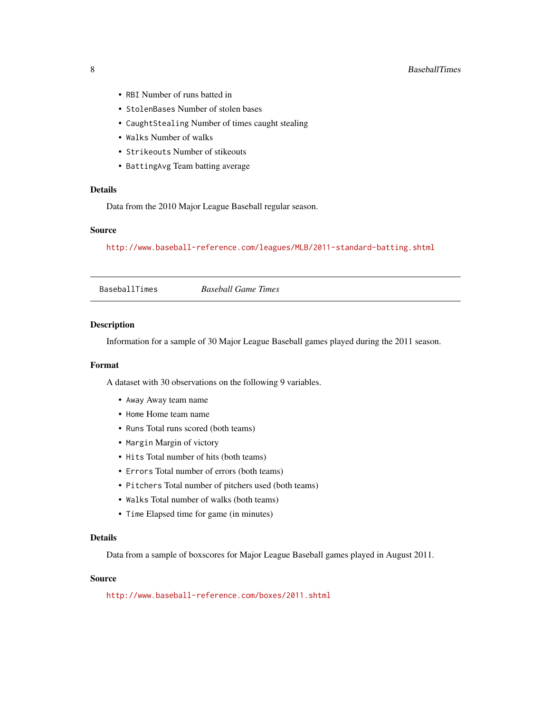- <span id="page-7-0"></span>• RBI Number of runs batted in
- StolenBases Number of stolen bases
- CaughtStealing Number of times caught stealing
- Walks Number of walks
- Strikeouts Number of stikeouts
- BattingAvg Team batting average

# Details

Data from the 2010 Major League Baseball regular season.

#### Source

<http://www.baseball-reference.com/leagues/MLB/2011-standard-batting.shtml>

| <b>Baseball Game Times</b> |  |
|----------------------------|--|
|----------------------------|--|

#### Description

Information for a sample of 30 Major League Baseball games played during the 2011 season.

### Format

A dataset with 30 observations on the following 9 variables.

- Away Away team name
- Home Home team name
- Runs Total runs scored (both teams)
- Margin Margin of victory
- Hits Total number of hits (both teams)
- Errors Total number of errors (both teams)
- Pitchers Total number of pitchers used (both teams)
- Walks Total number of walks (both teams)
- Time Elapsed time for game (in minutes)

# Details

Data from a sample of boxscores for Major League Baseball games played in August 2011.

# Source

<http://www.baseball-reference.com/boxes/2011.shtml>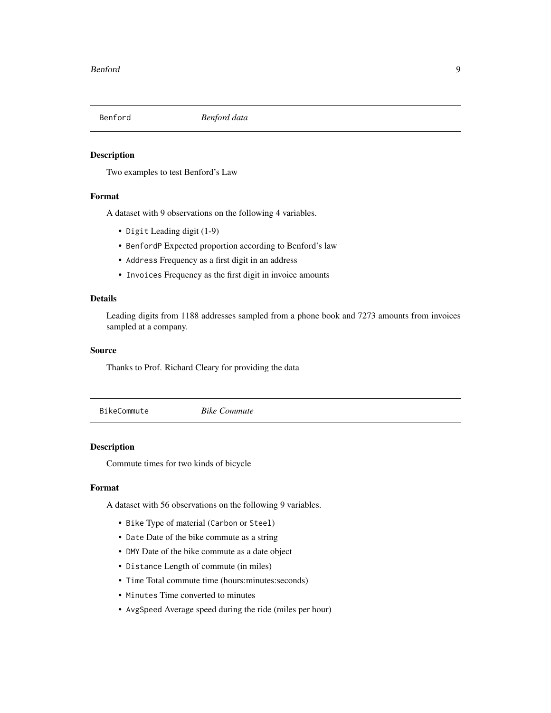<span id="page-8-0"></span>

Two examples to test Benford's Law

# Format

A dataset with 9 observations on the following 4 variables.

- Digit Leading digit (1-9)
- BenfordP Expected proportion according to Benford's law
- Address Frequency as a first digit in an address
- Invoices Frequency as the first digit in invoice amounts

#### Details

Leading digits from 1188 addresses sampled from a phone book and 7273 amounts from invoices sampled at a company.

# Source

Thanks to Prof. Richard Cleary for providing the data

BikeCommute *Bike Commute*

#### Description

Commute times for two kinds of bicycle

### Format

A dataset with 56 observations on the following 9 variables.

- Bike Type of material (Carbon or Steel)
- Date Date of the bike commute as a string
- DMY Date of the bike commute as a date object
- Distance Length of commute (in miles)
- Time Total commute time (hours:minutes:seconds)
- Minutes Time converted to minutes
- AvgSpeed Average speed during the ride (miles per hour)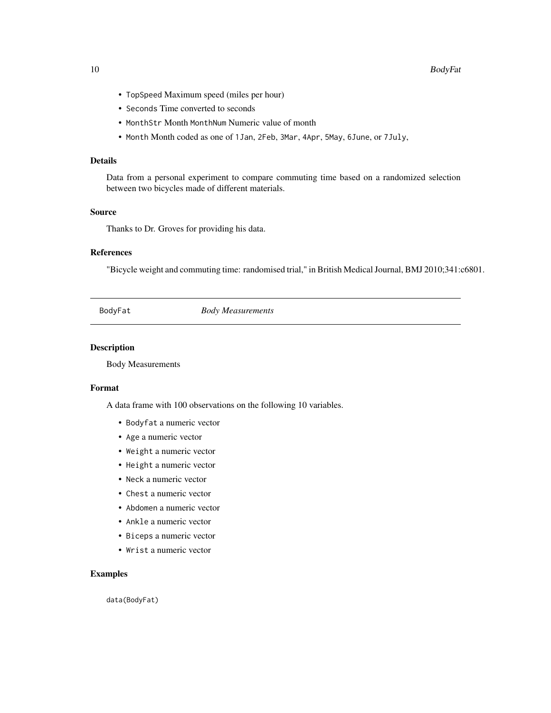- <span id="page-9-0"></span>• TopSpeed Maximum speed (miles per hour)
- Seconds Time converted to seconds
- MonthStr Month MonthNum Numeric value of month
- Month Month coded as one of 1Jan, 2Feb, 3Mar, 4Apr, 5May, 6June, or 7July,

# Details

Data from a personal experiment to compare commuting time based on a randomized selection between two bicycles made of different materials.

# Source

Thanks to Dr. Groves for providing his data.

# References

"Bicycle weight and commuting time: randomised trial," in British Medical Journal, BMJ 2010;341:c6801.

BodyFat *Body Measurements*

# Description

Body Measurements

#### Format

A data frame with 100 observations on the following 10 variables.

- Bodyfat a numeric vector
- Age a numeric vector
- Weight a numeric vector
- Height a numeric vector
- Neck a numeric vector
- Chest a numeric vector
- Abdomen a numeric vector
- Ankle a numeric vector
- Biceps a numeric vector
- Wrist a numeric vector

# Examples

data(BodyFat)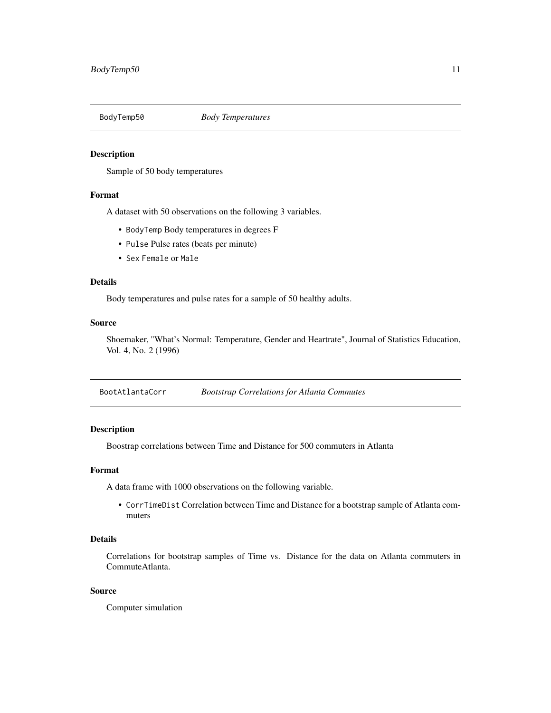<span id="page-10-0"></span>

Sample of 50 body temperatures

#### Format

A dataset with 50 observations on the following 3 variables.

- BodyTemp Body temperatures in degrees F
- Pulse Pulse rates (beats per minute)
- Sex Female or Male

# Details

Body temperatures and pulse rates for a sample of 50 healthy adults.

#### Source

Shoemaker, "What's Normal: Temperature, Gender and Heartrate", Journal of Statistics Education, Vol. 4, No. 2 (1996)

BootAtlantaCorr *Bootstrap Correlations for Atlanta Commutes*

#### Description

Boostrap correlations between Time and Distance for 500 commuters in Atlanta

#### Format

A data frame with 1000 observations on the following variable.

• CorrTimeDist Correlation between Time and Distance for a bootstrap sample of Atlanta commuters

# Details

Correlations for bootstrap samples of Time vs. Distance for the data on Atlanta commuters in CommuteAtlanta.

# Source

Computer simulation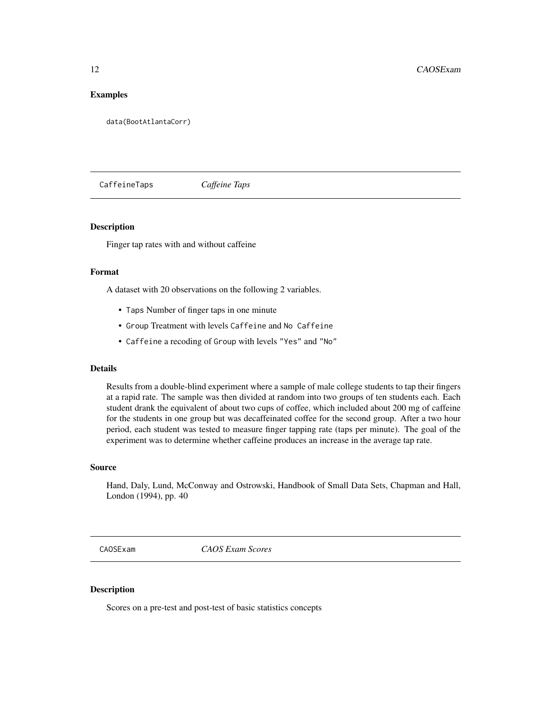# <span id="page-11-0"></span>Examples

data(BootAtlantaCorr)

CaffeineTaps *Caffeine Taps*

# **Description**

Finger tap rates with and without caffeine

# Format

A dataset with 20 observations on the following 2 variables.

- Taps Number of finger taps in one minute
- Group Treatment with levels Caffeine and No Caffeine
- Caffeine a recoding of Group with levels "Yes" and "No"

#### Details

Results from a double-blind experiment where a sample of male college students to tap their fingers at a rapid rate. The sample was then divided at random into two groups of ten students each. Each student drank the equivalent of about two cups of coffee, which included about 200 mg of caffeine for the students in one group but was decaffeinated coffee for the second group. After a two hour period, each student was tested to measure finger tapping rate (taps per minute). The goal of the experiment was to determine whether caffeine produces an increase in the average tap rate.

#### Source

Hand, Daly, Lund, McConway and Ostrowski, Handbook of Small Data Sets, Chapman and Hall, London (1994), pp. 40

CAOSExam *CAOS Exam Scores*

# Description

Scores on a pre-test and post-test of basic statistics concepts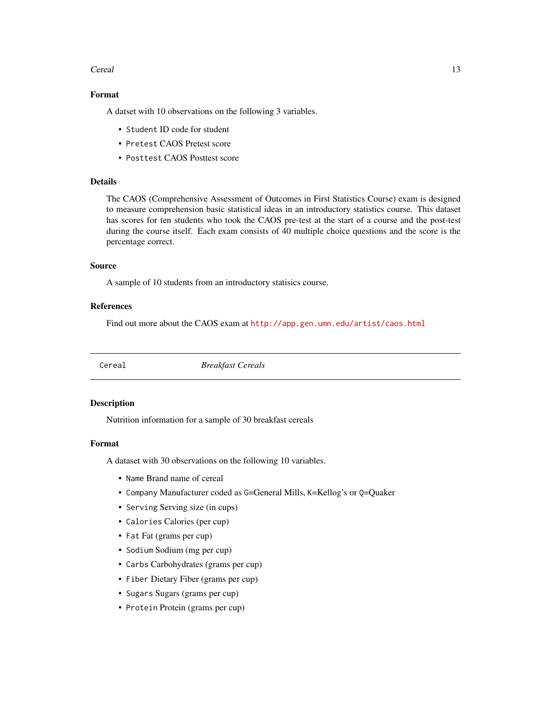#### <span id="page-12-0"></span>Cereal and the contract of the contract of the contract of the contract of the contract of the contract of the contract of the contract of the contract of the contract of the contract of the contract of the contract of the

# Format

A datset with 10 observations on the following 3 variables.

- Student ID code for student
- Pretest CAOS Pretest score
- Posttest CAOS Posttest score

# Details

The CAOS (Comprehensive Assessment of Outcomes in First Statistics Course) exam is designed to measure comprehension basic statistical ideas in an introductory statistics course. This dataset has scores for ten students who took the CAOS pre-test at the start of a course and the post-test during the course itself. Each exam consists of 40 multiple choice questions and the score is the percentage correct.

#### Source

A sample of 10 students from an introductory statisics course.

#### References

Find out more about the CAOS exam at <http://app.gen.umn.edu/artist/caos.html>

Cereal *Breakfast Cereals*

#### Description

Nutrition information for a sample of 30 breakfast cereals

#### Format

A dataset with 30 observations on the following 10 variables.

- Name Brand name of cereal
- Company Manufacturer coded as G=General Mills, K=Kellog's or Q=Quaker
- Serving Serving size (in cups)
- Calories Calories (per cup)
- Fat Fat (grams per cup)
- Sodium Sodium (mg per cup)
- Carbs Carbohydrates (grams per cup)
- Fiber Dietary Fiber (grams per cup)
- Sugars Sugars (grams per cup)
- Protein Protein (grams per cup)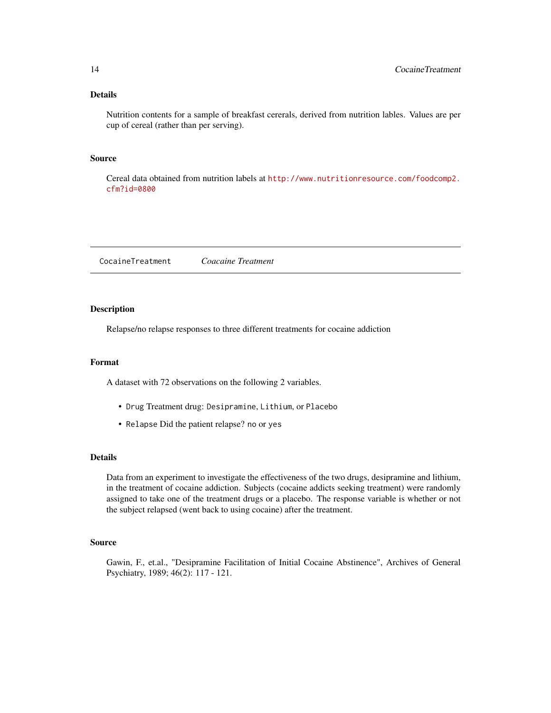# <span id="page-13-0"></span>Details

Nutrition contents for a sample of breakfast cererals, derived from nutrition lables. Values are per cup of cereal (rather than per serving).

# Source

Cereal data obtained from nutrition labels at [http://www.nutritionresource.com/foodcomp2.](http://www.nutritionresource.com/foodcomp2.cfm?id=0800) [cfm?id=0800](http://www.nutritionresource.com/foodcomp2.cfm?id=0800)

CocaineTreatment *Coacaine Treatment*

#### Description

Relapse/no relapse responses to three different treatments for cocaine addiction

#### Format

A dataset with 72 observations on the following 2 variables.

- Drug Treatment drug: Desipramine, Lithium, or Placebo
- Relapse Did the patient relapse? no or yes

#### Details

Data from an experiment to investigate the effectiveness of the two drugs, desipramine and lithium, in the treatment of cocaine addiction. Subjects (cocaine addicts seeking treatment) were randomly assigned to take one of the treatment drugs or a placebo. The response variable is whether or not the subject relapsed (went back to using cocaine) after the treatment.

#### Source

Gawin, F., et.al., "Desipramine Facilitation of Initial Cocaine Abstinence", Archives of General Psychiatry, 1989; 46(2): 117 - 121.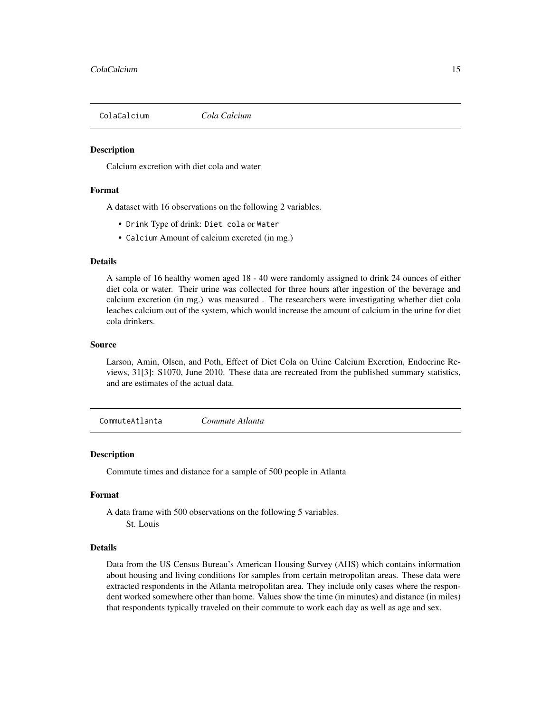<span id="page-14-0"></span>

Calcium excretion with diet cola and water

#### Format

A dataset with 16 observations on the following 2 variables.

- Drink Type of drink: Diet cola or Water
- Calcium Amount of calcium excreted (in mg.)

#### Details

A sample of 16 healthy women aged 18 - 40 were randomly assigned to drink 24 ounces of either diet cola or water. Their urine was collected for three hours after ingestion of the beverage and calcium excretion (in mg.) was measured . The researchers were investigating whether diet cola leaches calcium out of the system, which would increase the amount of calcium in the urine for diet cola drinkers.

#### Source

Larson, Amin, Olsen, and Poth, Effect of Diet Cola on Urine Calcium Excretion, Endocrine Reviews, 31[3]: S1070, June 2010. These data are recreated from the published summary statistics, and are estimates of the actual data.

CommuteAtlanta *Commute Atlanta*

#### **Description**

Commute times and distance for a sample of 500 people in Atlanta

# Format

A data frame with 500 observations on the following 5 variables.

St. Louis

#### Details

Data from the US Census Bureau's American Housing Survey (AHS) which contains information about housing and living conditions for samples from certain metropolitan areas. These data were extracted respondents in the Atlanta metropolitan area. They include only cases where the respondent worked somewhere other than home. Values show the time (in minutes) and distance (in miles) that respondents typically traveled on their commute to work each day as well as age and sex.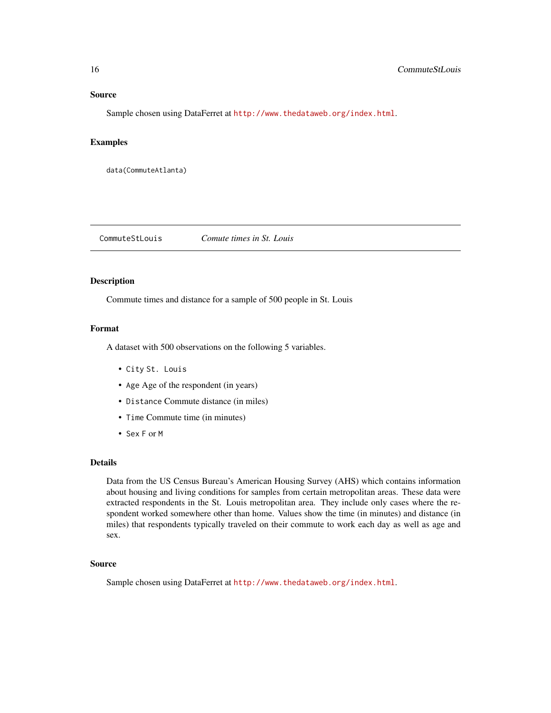#### <span id="page-15-0"></span>Source

Sample chosen using DataFerret at <http://www.thedataweb.org/index.html>.

#### Examples

```
data(CommuteAtlanta)
```
CommuteStLouis *Comute times in St. Louis*

# Description

Commute times and distance for a sample of 500 people in St. Louis

#### Format

A dataset with 500 observations on the following 5 variables.

- City St. Louis
- Age Age of the respondent (in years)
- Distance Commute distance (in miles)
- Time Commute time (in minutes)
- Sex F or M

#### Details

Data from the US Census Bureau's American Housing Survey (AHS) which contains information about housing and living conditions for samples from certain metropolitan areas. These data were extracted respondents in the St. Louis metropolitan area. They include only cases where the respondent worked somewhere other than home. Values show the time (in minutes) and distance (in miles) that respondents typically traveled on their commute to work each day as well as age and sex.

#### Source

Sample chosen using DataFerret at <http://www.thedataweb.org/index.html>.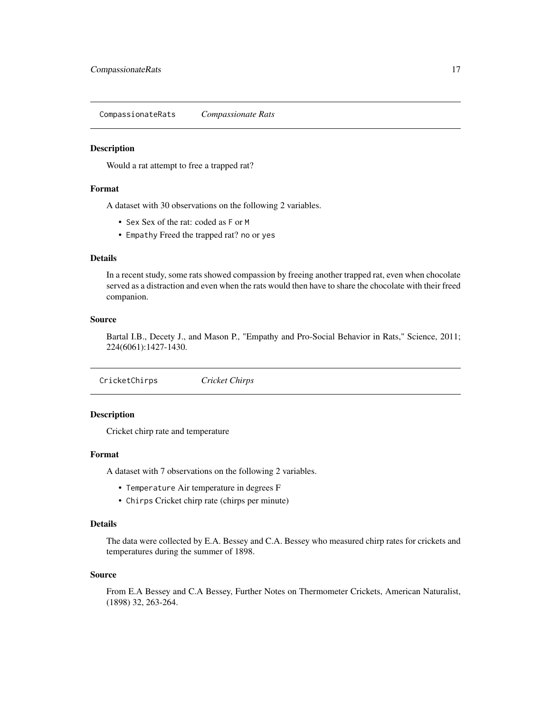<span id="page-16-0"></span>CompassionateRats *Compassionate Rats*

### Description

Would a rat attempt to free a trapped rat?

# Format

A dataset with 30 observations on the following 2 variables.

- Sex Sex of the rat: coded as F or M
- Empathy Freed the trapped rat? no or yes

# Details

In a recent study, some rats showed compassion by freeing another trapped rat, even when chocolate served as a distraction and even when the rats would then have to share the chocolate with their freed companion.

### Source

Bartal I.B., Decety J., and Mason P., "Empathy and Pro-Social Behavior in Rats," Science, 2011; 224(6061):1427-1430.

CricketChirps *Cricket Chirps*

# Description

Cricket chirp rate and temperature

#### Format

A dataset with 7 observations on the following 2 variables.

- Temperature Air temperature in degrees F
- Chirps Cricket chirp rate (chirps per minute)

# Details

The data were collected by E.A. Bessey and C.A. Bessey who measured chirp rates for crickets and temperatures during the summer of 1898.

#### Source

From E.A Bessey and C.A Bessey, Further Notes on Thermometer Crickets, American Naturalist, (1898) 32, 263-264.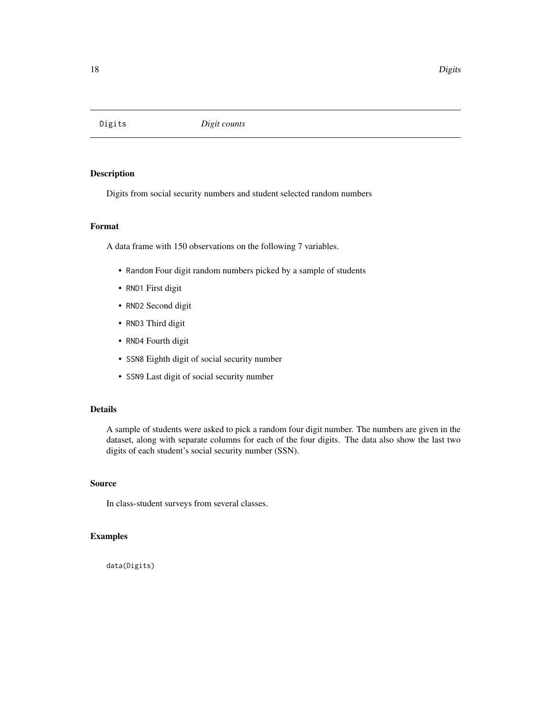<span id="page-17-0"></span>

Digits from social security numbers and student selected random numbers

#### Format

A data frame with 150 observations on the following 7 variables.

- Random Four digit random numbers picked by a sample of students
- RND1 First digit
- RND2 Second digit
- RND3 Third digit
- RND4 Fourth digit
- SSN8 Eighth digit of social security number
- SSN9 Last digit of social security number

# Details

A sample of students were asked to pick a random four digit number. The numbers are given in the dataset, along with separate columns for each of the four digits. The data also show the last two digits of each student's social security number (SSN).

#### Source

In class-student surveys from several classes.

#### Examples

data(Digits)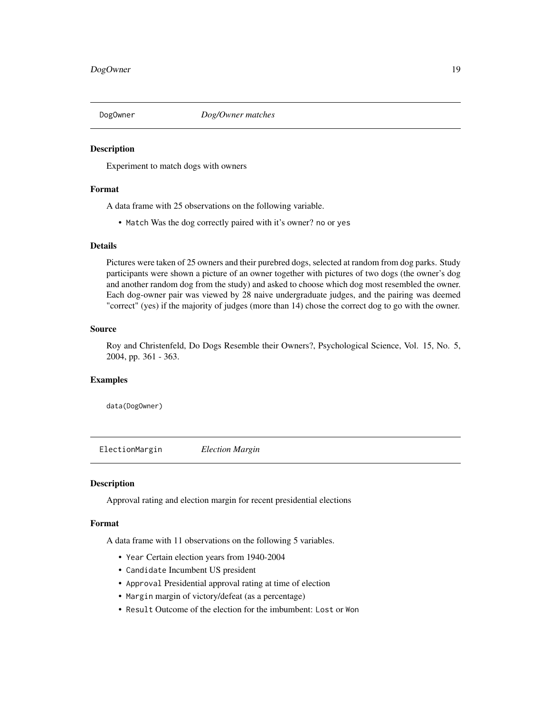<span id="page-18-0"></span>

Experiment to match dogs with owners

# Format

A data frame with 25 observations on the following variable.

• Match Was the dog correctly paired with it's owner? no or yes

#### Details

Pictures were taken of 25 owners and their purebred dogs, selected at random from dog parks. Study participants were shown a picture of an owner together with pictures of two dogs (the owner's dog and another random dog from the study) and asked to choose which dog most resembled the owner. Each dog-owner pair was viewed by 28 naive undergraduate judges, and the pairing was deemed "correct" (yes) if the majority of judges (more than 14) chose the correct dog to go with the owner.

# Source

Roy and Christenfeld, Do Dogs Resemble their Owners?, Psychological Science, Vol. 15, No. 5, 2004, pp. 361 - 363.

# Examples

data(DogOwner)

ElectionMargin *Election Margin*

#### Description

Approval rating and election margin for recent presidential elections

#### Format

A data frame with 11 observations on the following 5 variables.

- Year Certain election years from 1940-2004
- Candidate Incumbent US president
- Approval Presidential approval rating at time of election
- Margin margin of victory/defeat (as a percentage)
- Result Outcome of the election for the imbumbent: Lost or Won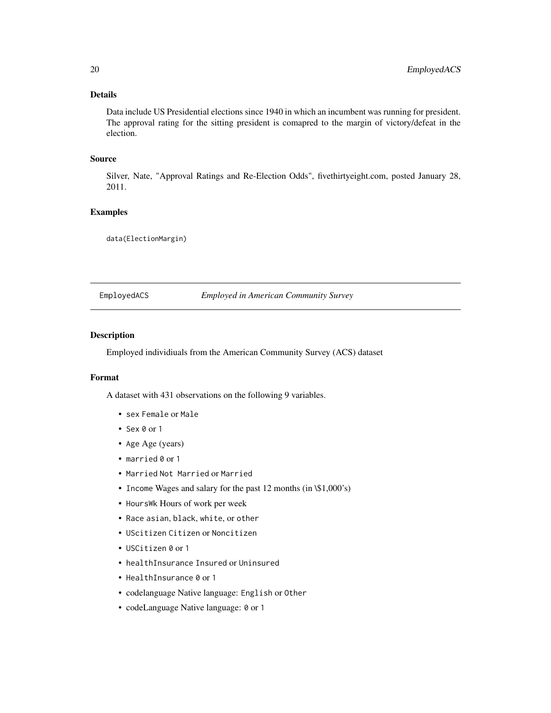# Details

Data include US Presidential elections since 1940 in which an incumbent was running for president. The approval rating for the sitting president is comapred to the margin of victory/defeat in the election.

# Source

Silver, Nate, "Approval Ratings and Re-Election Odds", fivethirtyeight.com, posted January 28, 2011.

# Examples

data(ElectionMargin)

EmployedACS *Employed in American Community Survey*

#### Description

Employed individiuals from the American Community Survey (ACS) dataset

#### Format

A dataset with 431 observations on the following 9 variables.

- sex Female or Male
- Sex 0 or 1
- Age Age (years)
- married 0 or 1
- Married Not Married or Married
- Income Wages and salary for the past 12 months (in \\$1,000's)
- HoursWk Hours of work per week
- Race asian, black, white, or other
- UScitizen Citizen or Noncitizen
- USCitizen 0 or 1
- healthInsurance Insured or Uninsured
- HealthInsurance 0 or 1
- codelanguage Native language: English or Other
- codeLanguage Native language: 0 or 1

<span id="page-19-0"></span>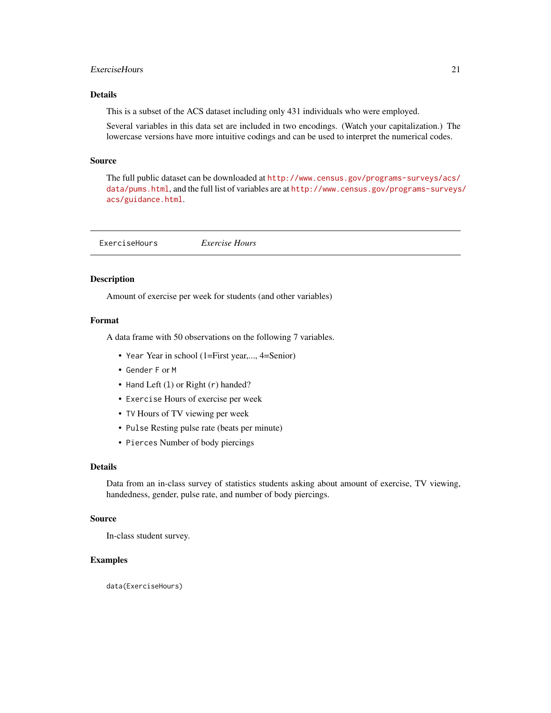# <span id="page-20-0"></span>ExerciseHours 21

# Details

This is a subset of the ACS dataset including only 431 individuals who were employed.

Several variables in this data set are included in two encodings. (Watch your capitalization.) The lowercase versions have more intuitive codings and can be used to interpret the numerical codes.

#### Source

The full public dataset can be downloaded at [http://www.census.gov/programs-surveys/acs/](http://www.census.gov/programs-surveys/acs/data/pums.html) [data/pums.html](http://www.census.gov/programs-surveys/acs/data/pums.html), and the full list of variables are at [http://www.census.gov/programs-surveys](http://www.census.gov/programs-surveys/acs/guidance.html)/ [acs/guidance.html](http://www.census.gov/programs-surveys/acs/guidance.html).

ExerciseHours *Exercise Hours*

#### Description

Amount of exercise per week for students (and other variables)

#### Format

A data frame with 50 observations on the following 7 variables.

- Year Year in school (1=First year,..., 4=Senior)
- Gender F or M
- Hand Left (1) or Right (r) handed?
- Exercise Hours of exercise per week
- TV Hours of TV viewing per week
- Pulse Resting pulse rate (beats per minute)
- Pierces Number of body piercings

# Details

Data from an in-class survey of statistics students asking about amount of exercise, TV viewing, handedness, gender, pulse rate, and number of body piercings.

# Source

In-class student survey.

#### Examples

data(ExerciseHours)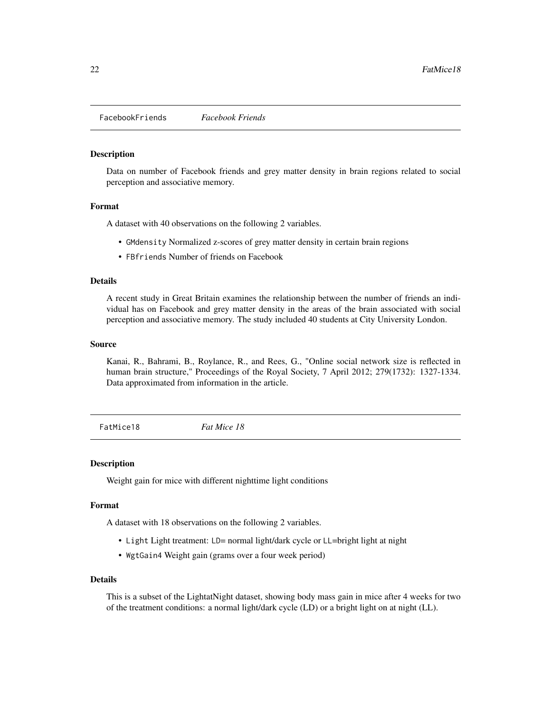<span id="page-21-0"></span>FacebookFriends *Facebook Friends*

#### **Description**

Data on number of Facebook friends and grey matter density in brain regions related to social perception and associative memory.

#### Format

A dataset with 40 observations on the following 2 variables.

- GMdensity Normalized z-scores of grey matter density in certain brain regions
- FBfriends Number of friends on Facebook

# Details

A recent study in Great Britain examines the relationship between the number of friends an individual has on Facebook and grey matter density in the areas of the brain associated with social perception and associative memory. The study included 40 students at City University London.

#### Source

Kanai, R., Bahrami, B., Roylance, R., and Rees, G., "Online social network size is reflected in human brain structure," Proceedings of the Royal Society, 7 April 2012; 279(1732): 1327-1334. Data approximated from information in the article.

FatMice18 *Fat Mice 18*

#### Description

Weight gain for mice with different nighttime light conditions

#### Format

A dataset with 18 observations on the following 2 variables.

- Light Light treatment: LD= normal light/dark cycle or LL=bright light at night
- WgtGain4 Weight gain (grams over a four week period)

#### Details

This is a subset of the LightatNight dataset, showing body mass gain in mice after 4 weeks for two of the treatment conditions: a normal light/dark cycle (LD) or a bright light on at night (LL).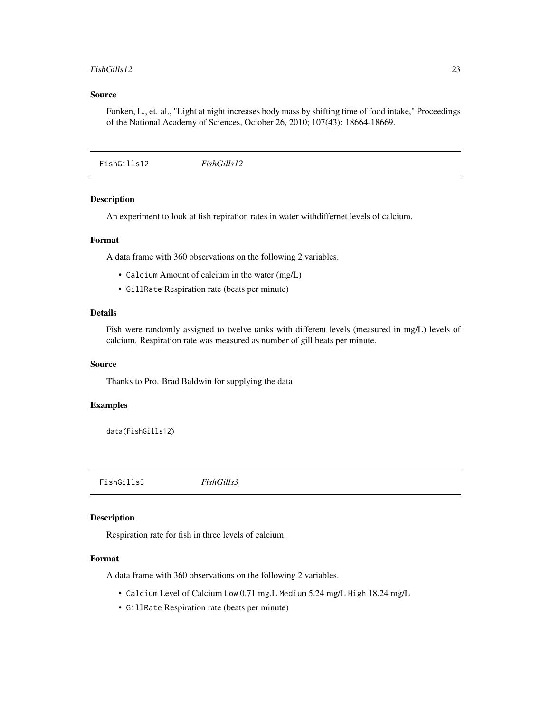#### <span id="page-22-0"></span>FishGills12 23

# Source

Fonken, L., et. al., "Light at night increases body mass by shifting time of food intake," Proceedings of the National Academy of Sciences, October 26, 2010; 107(43): 18664-18669.

FishGills12 *FishGills12*

# Description

An experiment to look at fish repiration rates in water withdiffernet levels of calcium.

#### Format

A data frame with 360 observations on the following 2 variables.

- Calcium Amount of calcium in the water (mg/L)
- GillRate Respiration rate (beats per minute)

# Details

Fish were randomly assigned to twelve tanks with different levels (measured in mg/L) levels of calcium. Respiration rate was measured as number of gill beats per minute.

#### Source

Thanks to Pro. Brad Baldwin for supplying the data

#### Examples

```
data(FishGills12)
```
FishGills3 *FishGills3*

#### Description

Respiration rate for fish in three levels of calcium.

# Format

A data frame with 360 observations on the following 2 variables.

- Calcium Level of Calcium Low 0.71 mg.L Medium 5.24 mg/L High 18.24 mg/L
- GillRate Respiration rate (beats per minute)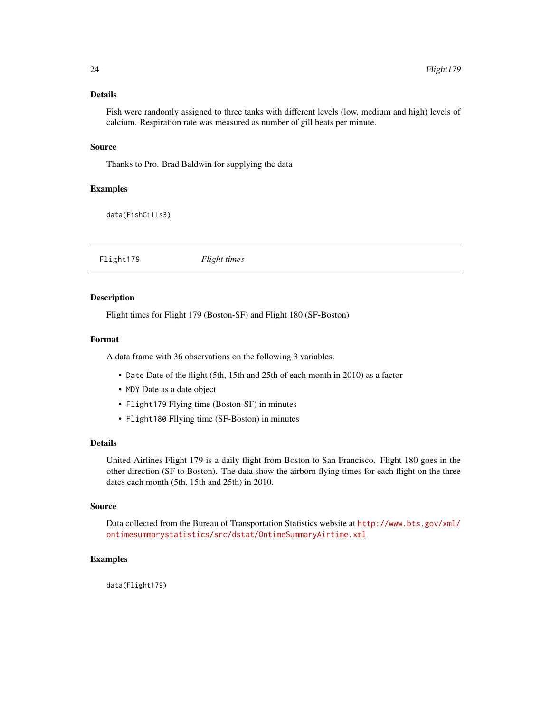# <span id="page-23-0"></span>Details

Fish were randomly assigned to three tanks with different levels (low, medium and high) levels of calcium. Respiration rate was measured as number of gill beats per minute.

#### Source

Thanks to Pro. Brad Baldwin for supplying the data

# Examples

data(FishGills3)

Flight179 *Flight times*

# Description

Flight times for Flight 179 (Boston-SF) and Flight 180 (SF-Boston)

#### Format

A data frame with 36 observations on the following 3 variables.

- Date Date of the flight (5th, 15th and 25th of each month in 2010) as a factor
- MDY Date as a date object
- Flight179 Flying time (Boston-SF) in minutes
- Flight180 Fllying time (SF-Boston) in minutes

### Details

United Airlines Flight 179 is a daily flight from Boston to San Francisco. Flight 180 goes in the other direction (SF to Boston). The data show the airborn flying times for each flight on the three dates each month (5th, 15th and 25th) in 2010.

#### Source

Data collected from the Bureau of Transportation Statistics website at [http://www.bts.gov/xml/](http://www.bts.gov/xml/ontimesummarystatistics/src/dstat/OntimeSummaryAirtime.xml) [ontimesummarystatistics/src/dstat/OntimeSummaryAirtime.xml](http://www.bts.gov/xml/ontimesummarystatistics/src/dstat/OntimeSummaryAirtime.xml)

# Examples

data(Flight179)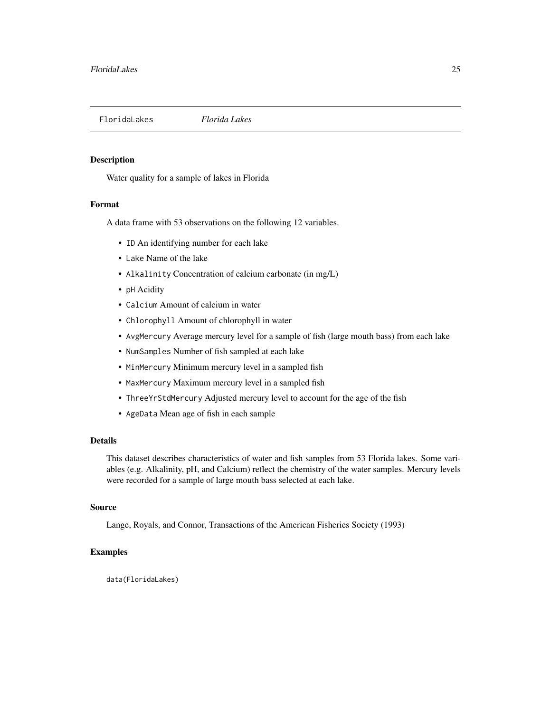<span id="page-24-0"></span>

Water quality for a sample of lakes in Florida

# Format

A data frame with 53 observations on the following 12 variables.

- ID An identifying number for each lake
- Lake Name of the lake
- Alkalinity Concentration of calcium carbonate (in mg/L)
- pH Acidity
- Calcium Amount of calcium in water
- Chlorophyll Amount of chlorophyll in water
- AvgMercury Average mercury level for a sample of fish (large mouth bass) from each lake
- NumSamples Number of fish sampled at each lake
- MinMercury Minimum mercury level in a sampled fish
- MaxMercury Maximum mercury level in a sampled fish
- ThreeYrStdMercury Adjusted mercury level to account for the age of the fish
- AgeData Mean age of fish in each sample

# Details

This dataset describes characteristics of water and fish samples from 53 Florida lakes. Some variables (e.g. Alkalinity, pH, and Calcium) reflect the chemistry of the water samples. Mercury levels were recorded for a sample of large mouth bass selected at each lake.

#### Source

Lange, Royals, and Connor, Transactions of the American Fisheries Society (1993)

#### Examples

data(FloridaLakes)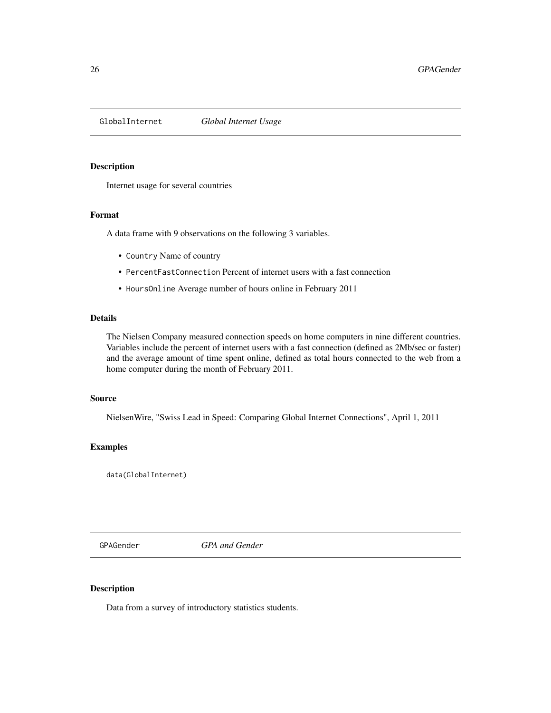<span id="page-25-0"></span>

Internet usage for several countries

# Format

A data frame with 9 observations on the following 3 variables.

- Country Name of country
- PercentFastConnection Percent of internet users with a fast connection
- HoursOnline Average number of hours online in February 2011

# Details

The Nielsen Company measured connection speeds on home computers in nine different countries. Variables include the percent of internet users with a fast connection (defined as 2Mb/sec or faster) and the average amount of time spent online, defined as total hours connected to the web from a home computer during the month of February 2011.

#### Source

NielsenWire, "Swiss Lead in Speed: Comparing Global Internet Connections", April 1, 2011

# Examples

data(GlobalInternet)

GPAGender *GPA and Gender*

# Description

Data from a survey of introductory statistics students.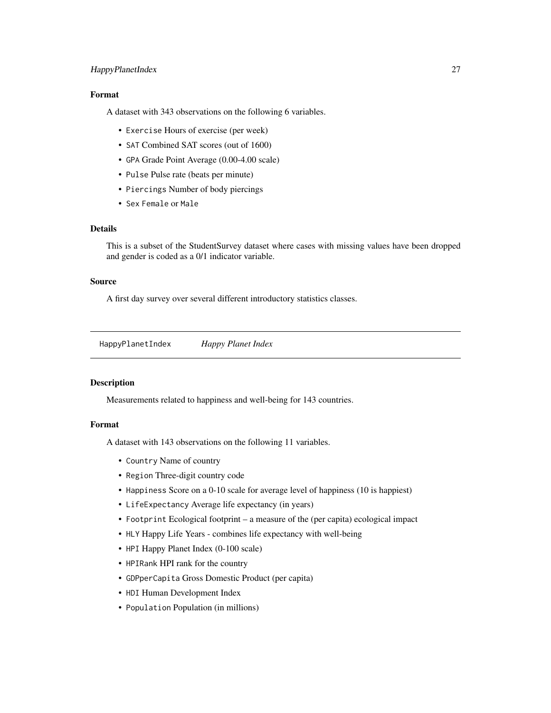# <span id="page-26-0"></span>HappyPlanetIndex 27

# Format

A dataset with 343 observations on the following 6 variables.

- Exercise Hours of exercise (per week)
- SAT Combined SAT scores (out of 1600)
- GPA Grade Point Average (0.00-4.00 scale)
- Pulse Pulse rate (beats per minute)
- Piercings Number of body piercings
- Sex Female or Male

# Details

This is a subset of the StudentSurvey dataset where cases with missing values have been dropped and gender is coded as a 0/1 indicator variable.

# Source

A first day survey over several different introductory statistics classes.

HappyPlanetIndex *Happy Planet Index*

#### Description

Measurements related to happiness and well-being for 143 countries.

# Format

A dataset with 143 observations on the following 11 variables.

- Country Name of country
- Region Three-digit country code
- Happiness Score on a 0-10 scale for average level of happiness (10 is happiest)
- LifeExpectancy Average life expectancy (in years)
- Footprint Ecological footprint a measure of the (per capita) ecological impact
- HLY Happy Life Years combines life expectancy with well-being
- HPI Happy Planet Index (0-100 scale)
- HPIRank HPI rank for the country
- GDPperCapita Gross Domestic Product (per capita)
- HDI Human Development Index
- Population Population (in millions)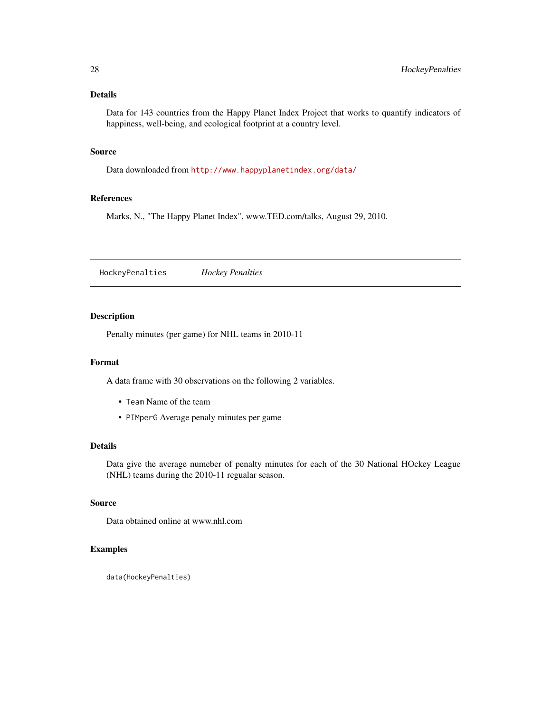# <span id="page-27-0"></span>Details

Data for 143 countries from the Happy Planet Index Project that works to quantify indicators of happiness, well-being, and ecological footprint at a country level.

#### Source

Data downloaded from <http://www.happyplanetindex.org/data/>

# References

Marks, N., "The Happy Planet Index", www.TED.com/talks, August 29, 2010.

HockeyPenalties *Hockey Penalties*

# Description

Penalty minutes (per game) for NHL teams in 2010-11

#### Format

A data frame with 30 observations on the following 2 variables.

- Team Name of the team
- PIMperG Average penaly minutes per game

# Details

Data give the average numeber of penalty minutes for each of the 30 National HOckey League (NHL) teams during the 2010-11 regualar season.

# Source

Data obtained online at www.nhl.com

# Examples

data(HockeyPenalties)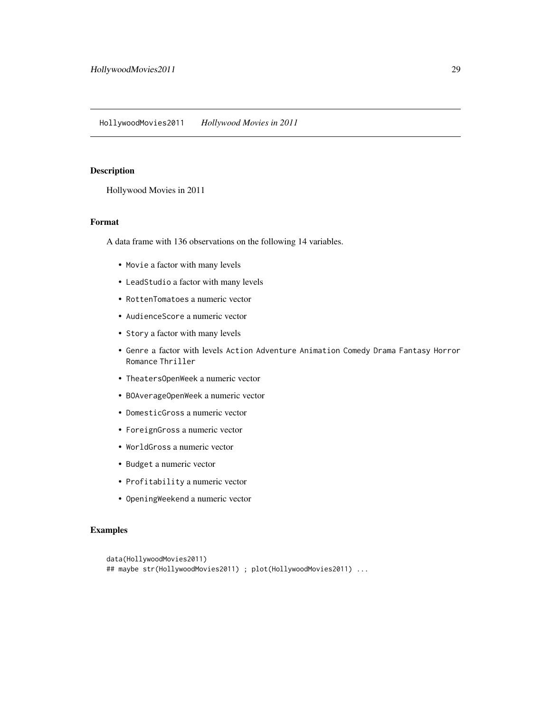<span id="page-28-0"></span>Hollywood Movies in 2011

# Format

A data frame with 136 observations on the following 14 variables.

- Movie a factor with many levels
- LeadStudio a factor with many levels
- RottenTomatoes a numeric vector
- AudienceScore a numeric vector
- Story a factor with many levels
- Genre a factor with levels Action Adventure Animation Comedy Drama Fantasy Horror Romance Thriller
- TheatersOpenWeek a numeric vector
- BOAverageOpenWeek a numeric vector
- DomesticGross a numeric vector
- ForeignGross a numeric vector
- WorldGross a numeric vector
- Budget a numeric vector
- Profitability a numeric vector
- OpeningWeekend a numeric vector

# Examples

```
data(HollywoodMovies2011)
## maybe str(HollywoodMovies2011) ; plot(HollywoodMovies2011) ...
```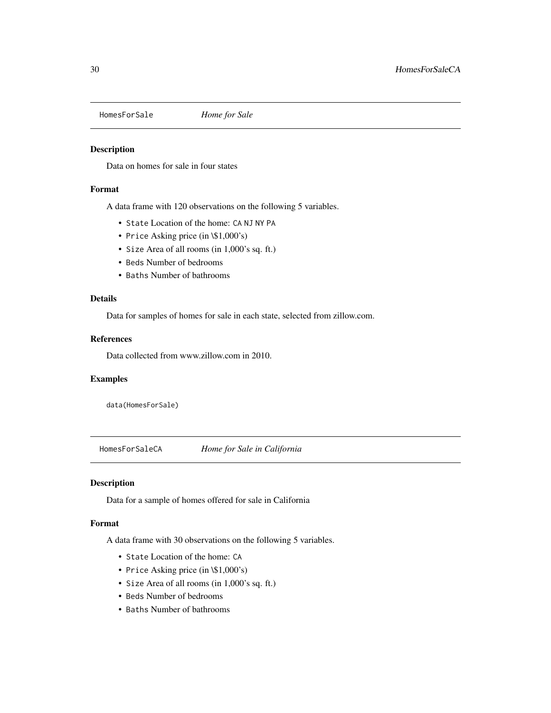<span id="page-29-0"></span>HomesForSale *Home for Sale*

# Description

Data on homes for sale in four states

# Format

A data frame with 120 observations on the following 5 variables.

- State Location of the home: CA NJ NY PA
- Price Asking price (in \\$1,000's)
- Size Area of all rooms (in 1,000's sq. ft.)
- Beds Number of bedrooms
- Baths Number of bathrooms

#### Details

Data for samples of homes for sale in each state, selected from zillow.com.

# References

Data collected from www.zillow.com in 2010.

#### Examples

data(HomesForSale)

HomesForSaleCA *Home for Sale in California*

# Description

Data for a sample of homes offered for sale in California

# Format

A data frame with 30 observations on the following 5 variables.

- State Location of the home: CA
- Price Asking price (in \\$1,000's)
- Size Area of all rooms (in 1,000's sq. ft.)
- Beds Number of bedrooms
- Baths Number of bathrooms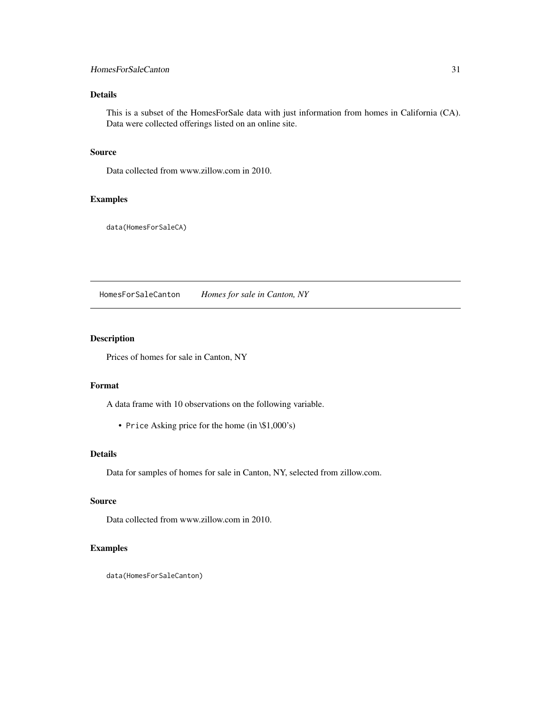# <span id="page-30-0"></span>HomesForSaleCanton 31

# Details

This is a subset of the HomesForSale data with just information from homes in California (CA). Data were collected offerings listed on an online site.

#### Source

Data collected from www.zillow.com in 2010.

# Examples

data(HomesForSaleCA)

HomesForSaleCanton *Homes for sale in Canton, NY*

# Description

Prices of homes for sale in Canton, NY

# Format

A data frame with 10 observations on the following variable.

• Price Asking price for the home (in \\$1,000's)

# Details

Data for samples of homes for sale in Canton, NY, selected from zillow.com.

# Source

Data collected from www.zillow.com in 2010.

#### Examples

data(HomesForSaleCanton)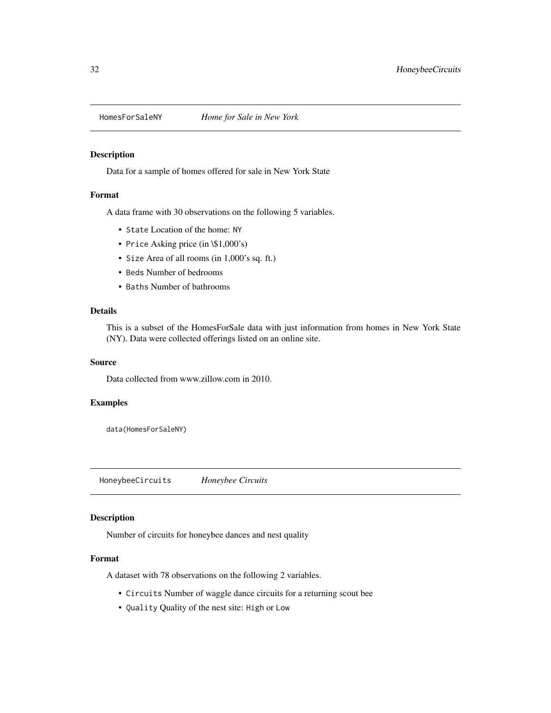<span id="page-31-0"></span>

Data for a sample of homes offered for sale in New York State

# Format

A data frame with 30 observations on the following 5 variables.

- State Location of the home: NY
- Price Asking price (in \\$1,000's)
- Size Area of all rooms (in 1,000's sq. ft.)
- Beds Number of bedrooms
- Baths Number of bathrooms

# Details

This is a subset of the HomesForSale data with just information from homes in New York State (NY). Data were collected offerings listed on an online site.

# Source

Data collected from www.zillow.com in 2010.

# Examples

data(HomesForSaleNY)

HoneybeeCircuits *Honeybee Circuits*

#### Description

Number of circuits for honeybee dances and nest quality

# Format

A dataset with 78 observations on the following 2 variables.

- Circuits Number of waggle dance circuits for a returning scout bee
- Quality Quality of the nest site: High or Low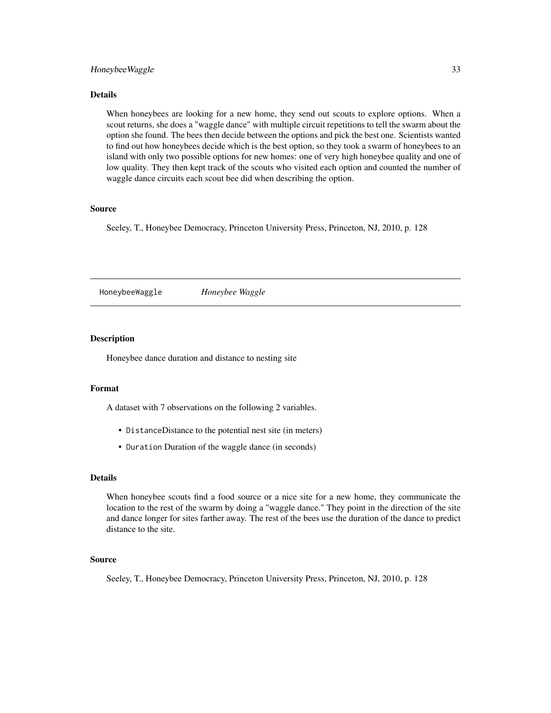#### <span id="page-32-0"></span>Honeybee Waggle 33

# Details

When honeybees are looking for a new home, they send out scouts to explore options. When a scout returns, she does a "waggle dance" with multiple circuit repetitions to tell the swarm about the option she found. The bees then decide between the options and pick the best one. Scientists wanted to find out how honeybees decide which is the best option, so they took a swarm of honeybees to an island with only two possible options for new homes: one of very high honeybee quality and one of low quality. They then kept track of the scouts who visited each option and counted the number of waggle dance circuits each scout bee did when describing the option.

#### Source

Seeley, T., Honeybee Democracy, Princeton University Press, Princeton, NJ, 2010, p. 128

HoneybeeWaggle *Honeybee Waggle*

#### Description

Honeybee dance duration and distance to nesting site

# Format

A dataset with 7 observations on the following 2 variables.

- DistanceDistance to the potential nest site (in meters)
- Duration Duration of the waggle dance (in seconds)

#### Details

When honeybee scouts find a food source or a nice site for a new home, they communicate the location to the rest of the swarm by doing a "waggle dance." They point in the direction of the site and dance longer for sites farther away. The rest of the bees use the duration of the dance to predict distance to the site.

#### Source

Seeley, T., Honeybee Democracy, Princeton University Press, Princeton, NJ, 2010, p. 128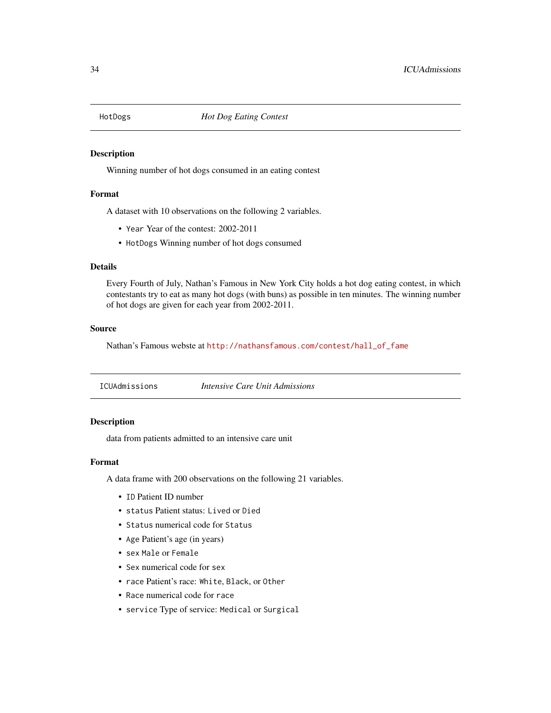<span id="page-33-0"></span>

Winning number of hot dogs consumed in an eating contest

#### Format

A dataset with 10 observations on the following 2 variables.

- Year Year of the contest: 2002-2011
- HotDogs Winning number of hot dogs consumed

#### Details

Every Fourth of July, Nathan's Famous in New York City holds a hot dog eating contest, in which contestants try to eat as many hot dogs (with buns) as possible in ten minutes. The winning number of hot dogs are given for each year from 2002-2011.

# Source

Nathan's Famous webste at [http://nathansfamous.com/contest/hall\\_of\\_fame](http://nathansfamous.com/contest/hall_of_fame)

ICUAdmissions *Intensive Care Unit Admissions*

# Description

data from patients admitted to an intensive care unit

#### Format

A data frame with 200 observations on the following 21 variables.

- ID Patient ID number
- status Patient status: Lived or Died
- Status numerical code for Status
- Age Patient's age (in years)
- sex Male or Female
- Sex numerical code for sex
- race Patient's race: White, Black, or Other
- Race numerical code for race
- service Type of service: Medical or Surgical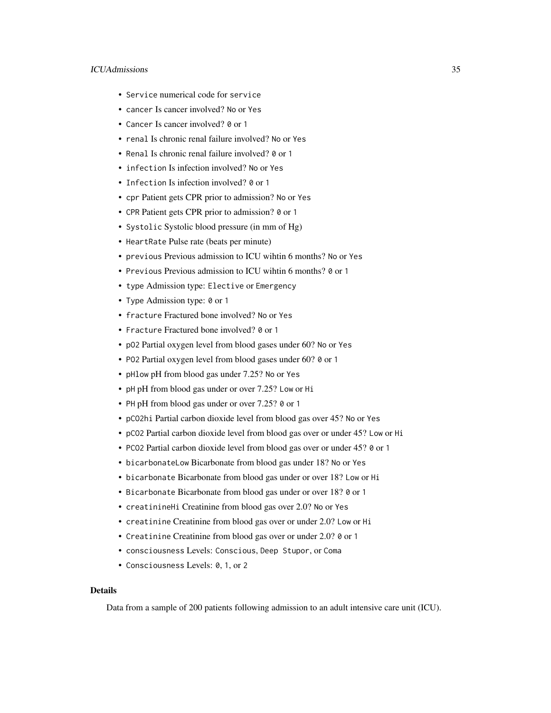# ICUAdmissions 35

- Service numerical code for service
- cancer Is cancer involved? No or Yes
- Cancer Is cancer involved? 0 or 1
- renal Is chronic renal failure involved? No or Yes
- Renal Is chronic renal failure involved? 0 or 1
- infection Is infection involved? No or Yes
- Infection Is infection involved? 0 or 1
- cpr Patient gets CPR prior to admission? No or Yes
- CPR Patient gets CPR prior to admission? 0 or 1
- Systolic Systolic blood pressure (in mm of Hg)
- HeartRate Pulse rate (beats per minute)
- previous Previous admission to ICU wihtin 6 months? No or Yes
- Previous Previous admission to ICU wihtin 6 months? 0 or 1
- type Admission type: Elective or Emergency
- Type Admission type: 0 or 1
- fracture Fractured bone involved? No or Yes
- Fracture Fractured bone involved? 0 or 1
- pO2 Partial oxygen level from blood gases under 60? No or Yes
- PO2 Partial oxygen level from blood gases under 60? 0 or 1
- pHlow pH from blood gas under 7.25? No or Yes
- pH pH from blood gas under or over 7.25? Low or Hi
- PH pH from blood gas under or over 7.25? 0 or 1
- pCO2hi Partial carbon dioxide level from blood gas over 45? No or Yes
- pCO2 Partial carbon dioxide level from blood gas over or under 45? Low or Hi
- PCO2 Partial carbon dioxide level from blood gas over or under 45? 0 or 1
- bicarbonateLow Bicarbonate from blood gas under 18? No or Yes
- bicarbonate Bicarbonate from blood gas under or over 18? Low or Hi
- Bicarbonate Bicarbonate from blood gas under or over 18? 0 or 1
- creatinineHi Creatinine from blood gas over 2.0? No or Yes
- creatinine Creatinine from blood gas over or under 2.0? Low or Hi
- Creatinine Creatinine from blood gas over or under 2.0? 0 or 1
- consciousness Levels: Conscious, Deep Stupor, or Coma
- Consciousness Levels: 0, 1, or 2

# Details

Data from a sample of 200 patients following admission to an adult intensive care unit (ICU).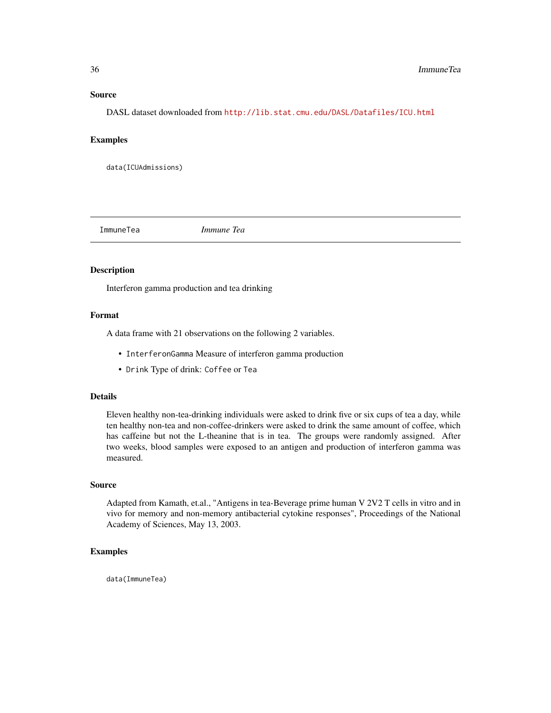#### Source

DASL dataset downloaded from <http://lib.stat.cmu.edu/DASL/Datafiles/ICU.html>

#### Examples

data(ICUAdmissions)

ImmuneTea *Immune Tea*

#### Description

Interferon gamma production and tea drinking

#### Format

A data frame with 21 observations on the following 2 variables.

- InterferonGamma Measure of interferon gamma production
- Drink Type of drink: Coffee or Tea

#### Details

Eleven healthy non-tea-drinking individuals were asked to drink five or six cups of tea a day, while ten healthy non-tea and non-coffee-drinkers were asked to drink the same amount of coffee, which has caffeine but not the L-theanine that is in tea. The groups were randomly assigned. After two weeks, blood samples were exposed to an antigen and production of interferon gamma was measured.

# Source

Adapted from Kamath, et.al., "Antigens in tea-Beverage prime human V 2V2 T cells in vitro and in vivo for memory and non-memory antibacterial cytokine responses", Proceedings of the National Academy of Sciences, May 13, 2003.

#### Examples

data(ImmuneTea)

<span id="page-35-0"></span>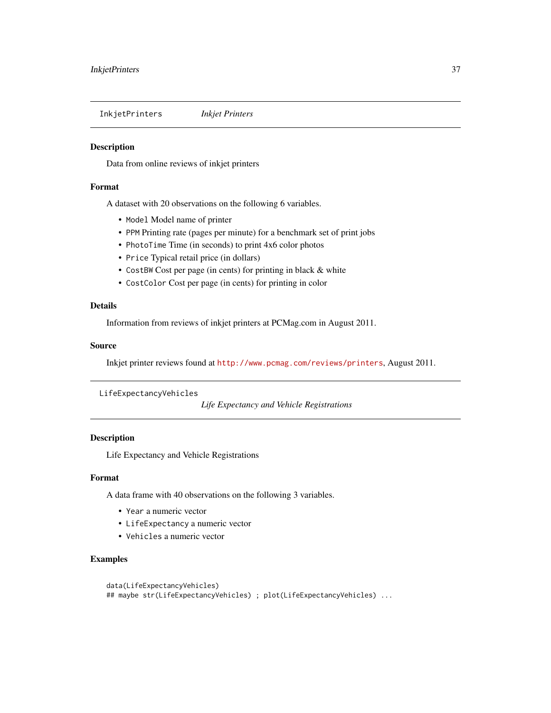InkjetPrinters *Inkjet Printers*

#### **Description**

Data from online reviews of inkjet printers

#### Format

A dataset with 20 observations on the following 6 variables.

- Model Model name of printer
- PPM Printing rate (pages per minute) for a benchmark set of print jobs
- PhotoTime Time (in seconds) to print 4x6 color photos
- Price Typical retail price (in dollars)
- CostBW Cost per page (in cents) for printing in black & white
- CostColor Cost per page (in cents) for printing in color

#### Details

Information from reviews of inkjet printers at PCMag.com in August 2011.

## Source

Inkjet printer reviews found at <http://www.pcmag.com/reviews/printers>, August 2011.

LifeExpectancyVehicles

*Life Expectancy and Vehicle Registrations*

# Description

Life Expectancy and Vehicle Registrations

### Format

A data frame with 40 observations on the following 3 variables.

- Year a numeric vector
- LifeExpectancy a numeric vector
- Vehicles a numeric vector

# Examples

```
data(LifeExpectancyVehicles)
## maybe str(LifeExpectancyVehicles) ; plot(LifeExpectancyVehicles) ...
```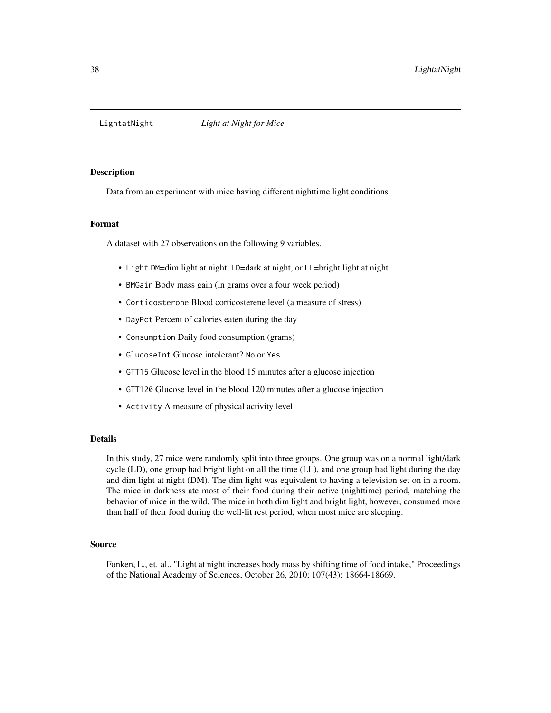Data from an experiment with mice having different nighttime light conditions

## Format

A dataset with 27 observations on the following 9 variables.

- Light DM=dim light at night, LD=dark at night, or LL=bright light at night
- BMGain Body mass gain (in grams over a four week period)
- Corticosterone Blood corticosterene level (a measure of stress)
- DayPct Percent of calories eaten during the day
- Consumption Daily food consumption (grams)
- GlucoseInt Glucose intolerant? No or Yes
- GTT15 Glucose level in the blood 15 minutes after a glucose injection
- GTT120 Glucose level in the blood 120 minutes after a glucose injection
- Activity A measure of physical activity level

#### Details

In this study, 27 mice were randomly split into three groups. One group was on a normal light/dark cycle (LD), one group had bright light on all the time (LL), and one group had light during the day and dim light at night (DM). The dim light was equivalent to having a television set on in a room. The mice in darkness ate most of their food during their active (nighttime) period, matching the behavior of mice in the wild. The mice in both dim light and bright light, however, consumed more than half of their food during the well-lit rest period, when most mice are sleeping.

#### Source

Fonken, L., et. al., "Light at night increases body mass by shifting time of food intake," Proceedings of the National Academy of Sciences, October 26, 2010; 107(43): 18664-18669.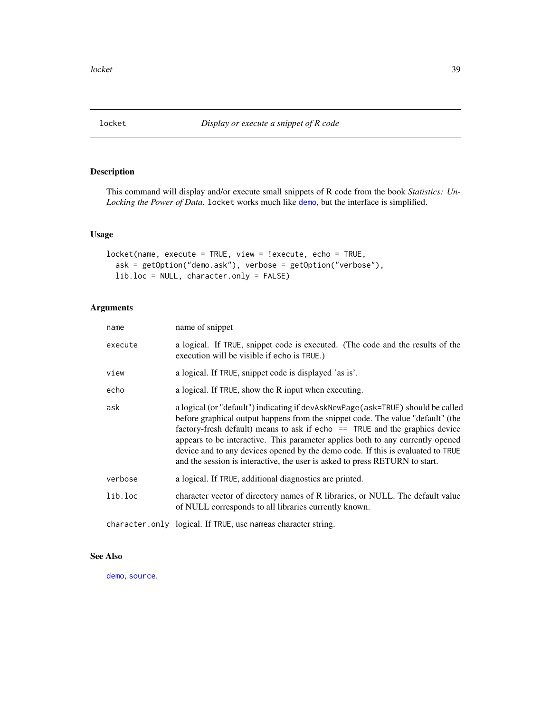This command will display and/or execute small snippets of R code from the book *Statistics: Un-Locking the Power of Data*. locket works much like [demo](#page-0-0), but the interface is simplified.

## Usage

```
locket(name, execute = TRUE, view = !execute, echo = TRUE,
  ask = getOption("demo.ask"), verbose = getOption("verbose"),
  lib.loc = NULL, character.only = FALSE)
```
# Arguments

| name    | name of snippet                                                                                                                                                                                                                                                                                                                                                                                                                                                                                          |
|---------|----------------------------------------------------------------------------------------------------------------------------------------------------------------------------------------------------------------------------------------------------------------------------------------------------------------------------------------------------------------------------------------------------------------------------------------------------------------------------------------------------------|
| execute | a logical. If TRUE, snippet code is executed. (The code and the results of the<br>execution will be visible if echo is TRUE.)                                                                                                                                                                                                                                                                                                                                                                            |
| view    | a logical. If TRUE, snippet code is displayed 'as is'.                                                                                                                                                                                                                                                                                                                                                                                                                                                   |
| echo    | a logical. If TRUE, show the R input when executing.                                                                                                                                                                                                                                                                                                                                                                                                                                                     |
| ask     | a logical (or "default") indicating if devAskNewPage (ask=TRUE) should be called<br>before graphical output happens from the snippet code. The value "default" (the<br>factory-fresh default) means to ask if echo $==$ TRUE and the graphics device<br>appears to be interactive. This parameter applies both to any currently opened<br>device and to any devices opened by the demo code. If this is evaluated to TRUE<br>and the session is interactive, the user is asked to press RETURN to start. |
| verbose | a logical. If TRUE, additional diagnostics are printed.                                                                                                                                                                                                                                                                                                                                                                                                                                                  |
| lib.loc | character vector of directory names of R libraries, or NULL. The default value<br>of NULL corresponds to all libraries currently known.                                                                                                                                                                                                                                                                                                                                                                  |
|         | character.only logical. If TRUE, use nameas character string.                                                                                                                                                                                                                                                                                                                                                                                                                                            |

## See Also

[demo](#page-0-0), [source](#page-0-0).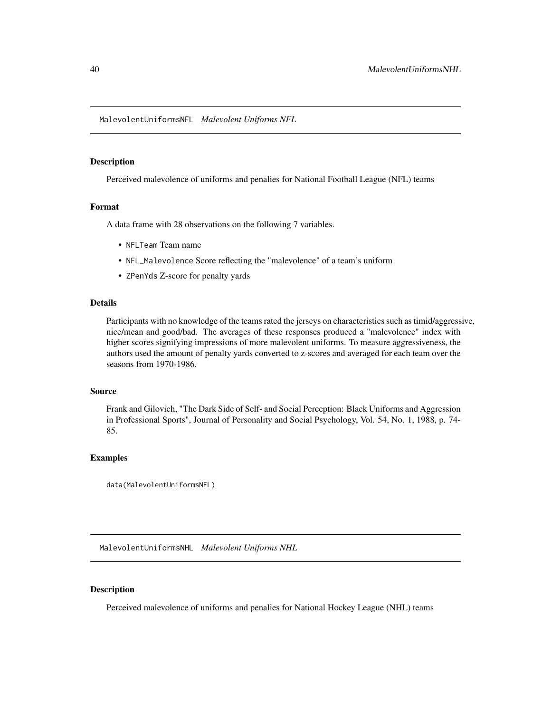MalevolentUniformsNFL *Malevolent Uniforms NFL*

### Description

Perceived malevolence of uniforms and penalies for National Football League (NFL) teams

### Format

A data frame with 28 observations on the following 7 variables.

- NFLTeam Team name
- NFL\_Malevolence Score reflecting the "malevolence" of a team's uniform
- ZPenYds Z-score for penalty yards

## Details

Participants with no knowledge of the teams rated the jerseys on characteristics such as timid/aggressive, nice/mean and good/bad. The averages of these responses produced a "malevolence" index with higher scores signifying impressions of more malevolent uniforms. To measure aggressiveness, the authors used the amount of penalty yards converted to z-scores and averaged for each team over the seasons from 1970-1986.

### Source

Frank and Gilovich, "The Dark Side of Self- and Social Perception: Black Uniforms and Aggression in Professional Sports", Journal of Personality and Social Psychology, Vol. 54, No. 1, 1988, p. 74- 85.

### Examples

```
data(MalevolentUniformsNFL)
```
MalevolentUniformsNHL *Malevolent Uniforms NHL*

# Description

Perceived malevolence of uniforms and penalies for National Hockey League (NHL) teams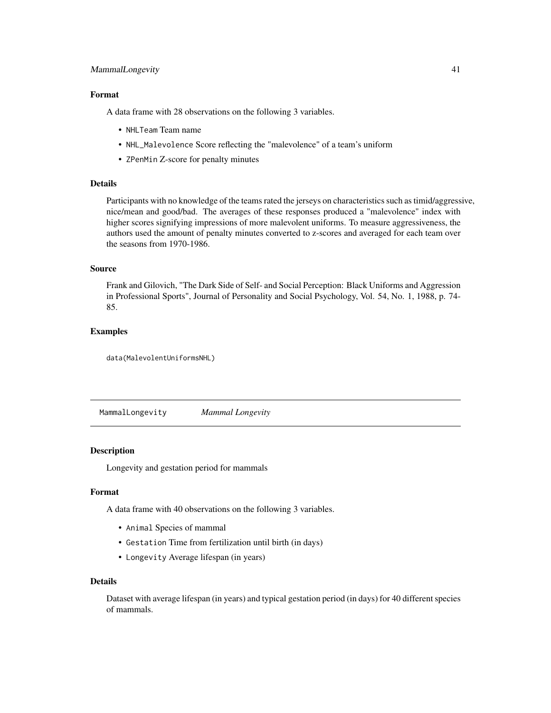# MammalLongevity 41

# Format

A data frame with 28 observations on the following 3 variables.

- NHLTeam Team name
- NHL\_Malevolence Score reflecting the "malevolence" of a team's uniform
- ZPenMin Z-score for penalty minutes

# Details

Participants with no knowledge of the teams rated the jerseys on characteristics such as timid/aggressive, nice/mean and good/bad. The averages of these responses produced a "malevolence" index with higher scores signifying impressions of more malevolent uniforms. To measure aggressiveness, the authors used the amount of penalty minutes converted to z-scores and averaged for each team over the seasons from 1970-1986.

#### Source

Frank and Gilovich, "The Dark Side of Self- and Social Perception: Black Uniforms and Aggression in Professional Sports", Journal of Personality and Social Psychology, Vol. 54, No. 1, 1988, p. 74- 85.

## Examples

data(MalevolentUniformsNHL)

MammalLongevity *Mammal Longevity*

#### Description

Longevity and gestation period for mammals

## Format

A data frame with 40 observations on the following 3 variables.

- Animal Species of mammal
- Gestation Time from fertilization until birth (in days)
- Longevity Average lifespan (in years)

#### Details

Dataset with average lifespan (in years) and typical gestation period (in days) for 40 different species of mammals.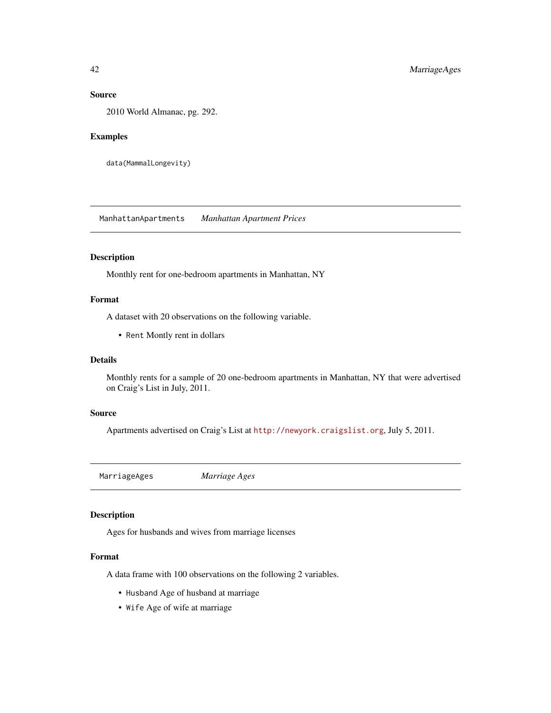# Source

2010 World Almanac, pg. 292.

### Examples

```
data(MammalLongevity)
```
ManhattanApartments *Manhattan Apartment Prices*

# Description

Monthly rent for one-bedroom apartments in Manhattan, NY

### Format

A dataset with 20 observations on the following variable.

• Rent Montly rent in dollars

## Details

Monthly rents for a sample of 20 one-bedroom apartments in Manhattan, NY that were advertised on Craig's List in July, 2011.

#### Source

Apartments advertised on Craig's List at <http://newyork.craigslist.org>, July 5, 2011.

MarriageAges *Marriage Ages*

# Description

Ages for husbands and wives from marriage licenses

## Format

A data frame with 100 observations on the following 2 variables.

- Husband Age of husband at marriage
- Wife Age of wife at marriage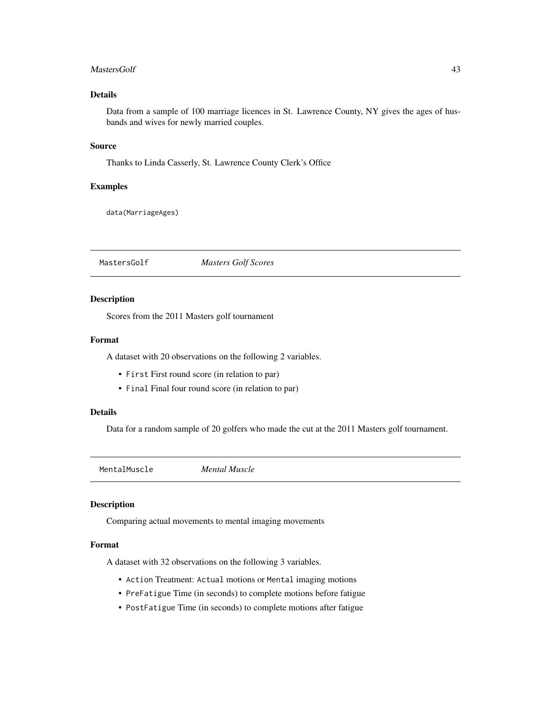#### MastersGolf 43

## Details

Data from a sample of 100 marriage licences in St. Lawrence County, NY gives the ages of husbands and wives for newly married couples.

### Source

Thanks to Linda Casserly, St. Lawrence County Clerk's Office

## Examples

data(MarriageAges)

MastersGolf *Masters Golf Scores*

#### Description

Scores from the 2011 Masters golf tournament

### Format

A dataset with 20 observations on the following 2 variables.

- First First round score (in relation to par)
- Final Final four round score (in relation to par)

# Details

Data for a random sample of 20 golfers who made the cut at the 2011 Masters golf tournament.

MentalMuscle *Mental Muscle*

### Description

Comparing actual movements to mental imaging movements

## Format

A dataset with 32 observations on the following 3 variables.

- Action Treatment: Actual motions or Mental imaging motions
- PreFatigue Time (in seconds) to complete motions before fatigue
- PostFatigue Time (in seconds) to complete motions after fatigue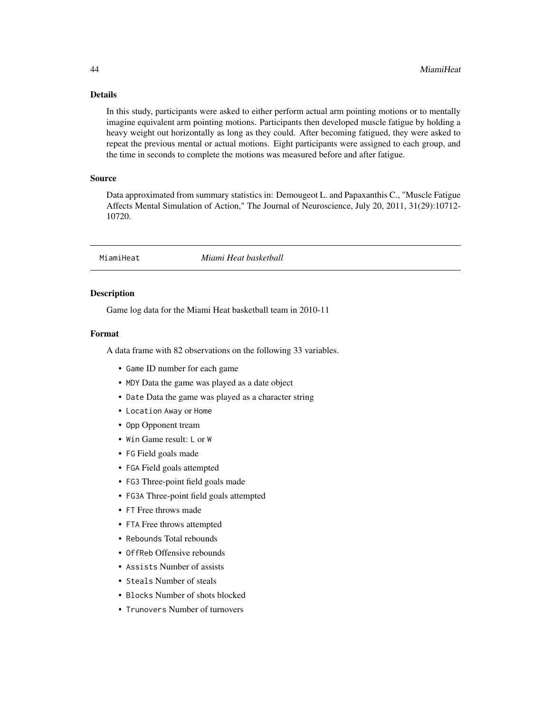# Details

In this study, participants were asked to either perform actual arm pointing motions or to mentally imagine equivalent arm pointing motions. Participants then developed muscle fatigue by holding a heavy weight out horizontally as long as they could. After becoming fatigued, they were asked to repeat the previous mental or actual motions. Eight participants were assigned to each group, and the time in seconds to complete the motions was measured before and after fatigue.

## Source

Data approximated from summary statistics in: Demougeot L. and Papaxanthis C., "Muscle Fatigue Affects Mental Simulation of Action," The Journal of Neuroscience, July 20, 2011, 31(29):10712- 10720.

MiamiHeat *Miami Heat basketball*

# Description

Game log data for the Miami Heat basketball team in 2010-11

## Format

A data frame with 82 observations on the following 33 variables.

- Game ID number for each game
- MDY Data the game was played as a date object
- Date Data the game was played as a character string
- Location Away or Home
- Opp Opponent tream
- Win Game result: L or W
- FG Field goals made
- FGA Field goals attempted
- FG3 Three-point field goals made
- FG3A Three-point field goals attempted
- FT Free throws made
- FTA Free throws attempted
- Rebounds Total rebounds
- OffReb Offensive rebounds
- Assists Number of assists
- Steals Number of steals
- Blocks Number of shots blocked
- Trunovers Number of turnovers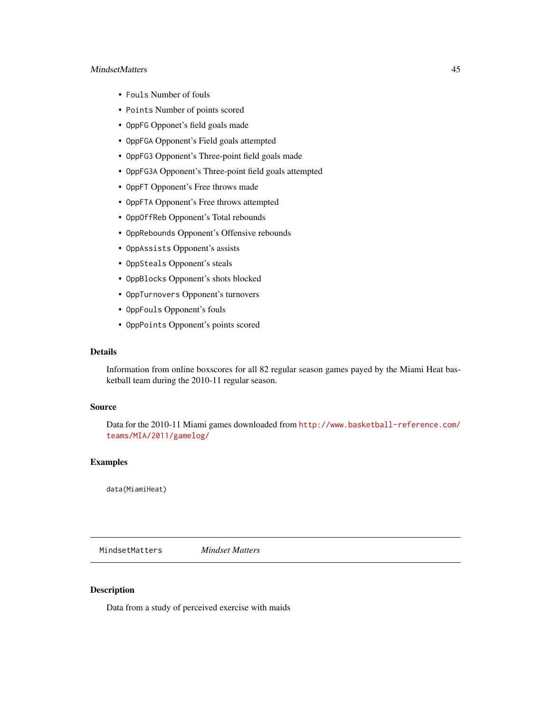## MindsetMatters 45

- Fouls Number of fouls
- Points Number of points scored
- OppFG Opponet's field goals made
- OppFGA Opponent's Field goals attempted
- OppFG3 Opponent's Three-point field goals made
- OppFG3A Opponent's Three-point field goals attempted
- OppFT Opponent's Free throws made
- OppFTA Opponent's Free throws attempted
- OppOffReb Opponent's Total rebounds
- OppRebounds Opponent's Offensive rebounds
- OppAssists Opponent's assists
- OppSteals Opponent's steals
- OppBlocks Opponent's shots blocked
- OppTurnovers Opponent's turnovers
- OppFouls Opponent's fouls
- OppPoints Opponent's points scored

## Details

Information from online boxscores for all 82 regular season games payed by the Miami Heat basketball team during the 2010-11 regular season.

## Source

Data for the 2010-11 Miami games downloaded from [http://www.basketball-reference.com/](http://www.basketball-reference.com/teams/MIA/2011/gamelog/) [teams/MIA/2011/gamelog/](http://www.basketball-reference.com/teams/MIA/2011/gamelog/)

## Examples

data(MiamiHeat)

MindsetMatters *Mindset Matters*

# Description

Data from a study of perceived exercise with maids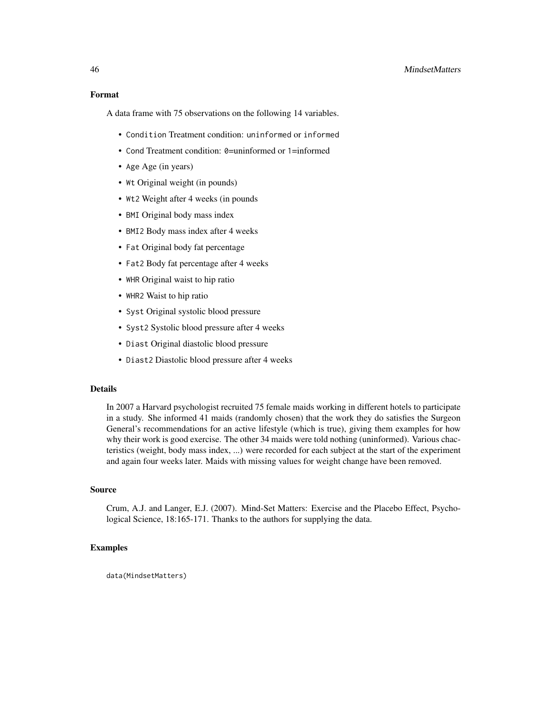A data frame with 75 observations on the following 14 variables.

- Condition Treatment condition: uninformed or informed
- Cond Treatment condition: 0=uninformed or 1=informed
- Age Age (in years)
- Wt Original weight (in pounds)
- Wt2 Weight after 4 weeks (in pounds)
- BMI Original body mass index
- BMI2 Body mass index after 4 weeks
- Fat Original body fat percentage
- Fat2 Body fat percentage after 4 weeks
- WHR Original waist to hip ratio
- WHR2 Waist to hip ratio
- Syst Original systolic blood pressure
- Syst2 Systolic blood pressure after 4 weeks
- Diast Original diastolic blood pressure
- Diast2 Diastolic blood pressure after 4 weeks

## Details

In 2007 a Harvard psychologist recruited 75 female maids working in different hotels to participate in a study. She informed 41 maids (randomly chosen) that the work they do satisfies the Surgeon General's recommendations for an active lifestyle (which is true), giving them examples for how why their work is good exercise. The other 34 maids were told nothing (uninformed). Various chacteristics (weight, body mass index, ...) were recorded for each subject at the start of the experiment and again four weeks later. Maids with missing values for weight change have been removed.

# Source

Crum, A.J. and Langer, E.J. (2007). Mind-Set Matters: Exercise and the Placebo Effect, Psychological Science, 18:165-171. Thanks to the authors for supplying the data.

## Examples

data(MindsetMatters)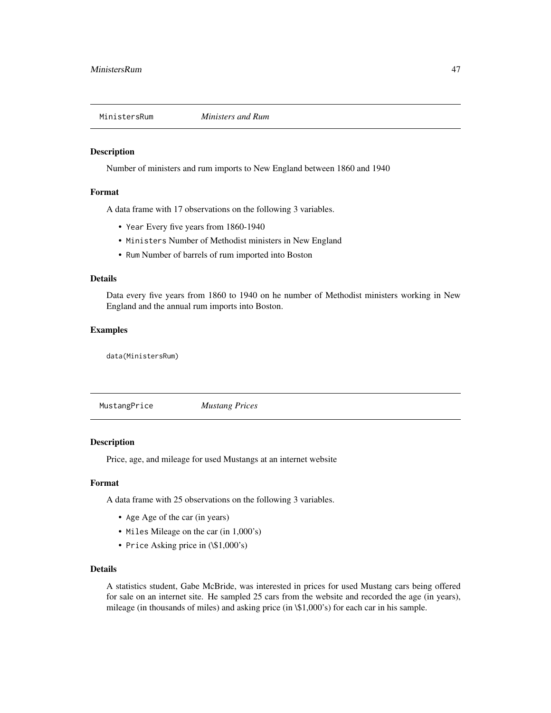Number of ministers and rum imports to New England between 1860 and 1940

#### Format

A data frame with 17 observations on the following 3 variables.

- Year Every five years from 1860-1940
- Ministers Number of Methodist ministers in New England
- Rum Number of barrels of rum imported into Boston

## Details

Data every five years from 1860 to 1940 on he number of Methodist ministers working in New England and the annual rum imports into Boston.

### Examples

data(MinistersRum)

MustangPrice *Mustang Prices*

### Description

Price, age, and mileage for used Mustangs at an internet website

## Format

A data frame with 25 observations on the following 3 variables.

- Age Age of the car (in years)
- Miles Mileage on the car (in 1,000's)
- Price Asking price in  $(\$1,000's)$

# Details

A statistics student, Gabe McBride, was interested in prices for used Mustang cars being offered for sale on an internet site. He sampled 25 cars from the website and recorded the age (in years), mileage (in thousands of miles) and asking price (in \\$1,000's) for each car in his sample.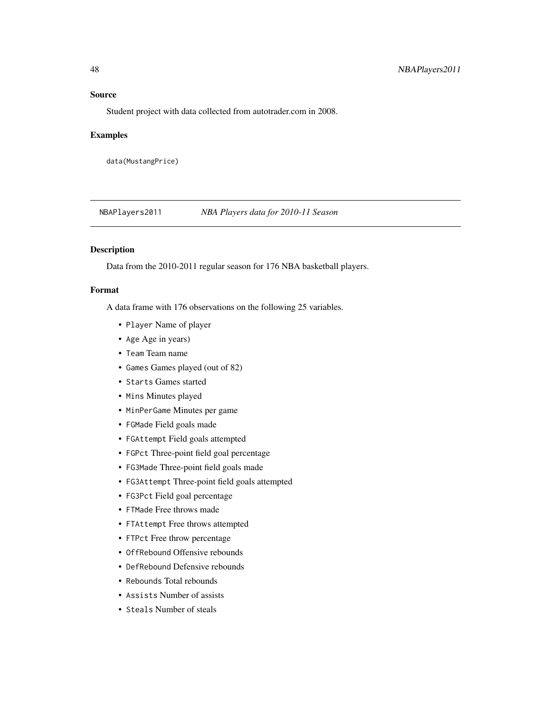### Source

Student project with data collected from autotrader.com in 2008.

#### Examples

data(MustangPrice)

NBAPlayers2011 *NBA Players data for 2010-11 Season*

### Description

Data from the 2010-2011 regular season for 176 NBA basketball players.

#### Format

A data frame with 176 observations on the following 25 variables.

- Player Name of player
- Age Age in years)
- Team Team name
- Games Games played (out of 82)
- Starts Games started
- Mins Minutes played
- MinPerGame Minutes per game
- FGMade Field goals made
- FGAttempt Field goals attempted
- FGPct Three-point field goal percentage
- FG3Made Three-point field goals made
- FG3Attempt Three-point field goals attempted
- FG3Pct Field goal percentage
- FTMade Free throws made
- FTAttempt Free throws attempted
- FTPct Free throw percentage
- OffRebound Offensive rebounds
- DefRebound Defensive rebounds
- Rebounds Total rebounds
- Assists Number of assists
- Steals Number of steals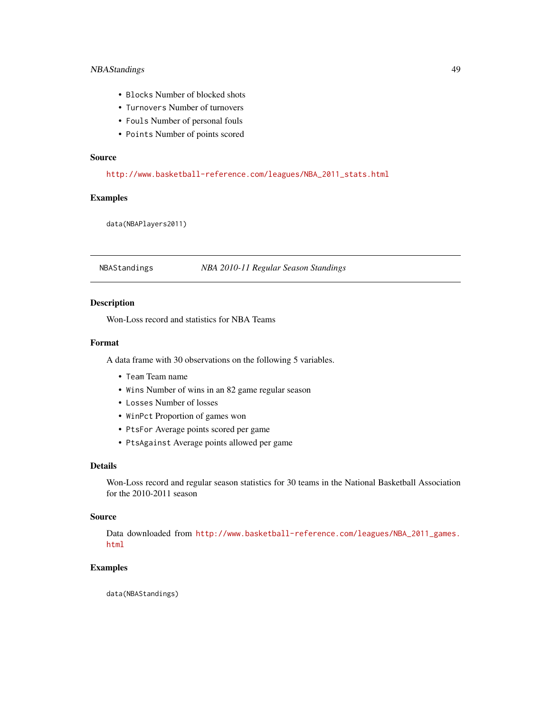# NBAStandings 49

- Blocks Number of blocked shots
- Turnovers Number of turnovers
- Fouls Number of personal fouls
- Points Number of points scored

# Source

[http://www.basketball-reference.com/leagues/NBA\\_2011\\_stats.html](http://www.basketball-reference.com/leagues/NBA_2011_stats.html)

# Examples

data(NBAPlayers2011)

NBAStandings *NBA 2010-11 Regular Season Standings*

# Description

Won-Loss record and statistics for NBA Teams

## Format

A data frame with 30 observations on the following 5 variables.

- Team Team name
- Wins Number of wins in an 82 game regular season
- Losses Number of losses
- WinPct Proportion of games won
- PtsFor Average points scored per game
- PtsAgainst Average points allowed per game

## Details

Won-Loss record and regular season statistics for 30 teams in the National Basketball Association for the 2010-2011 season

## Source

Data downloaded from [http://www.basketball-reference.com/leagues/NBA\\_2011\\_games.](http://www.basketball-reference.com/leagues/NBA_2011_games.html) [html](http://www.basketball-reference.com/leagues/NBA_2011_games.html)

## Examples

data(NBAStandings)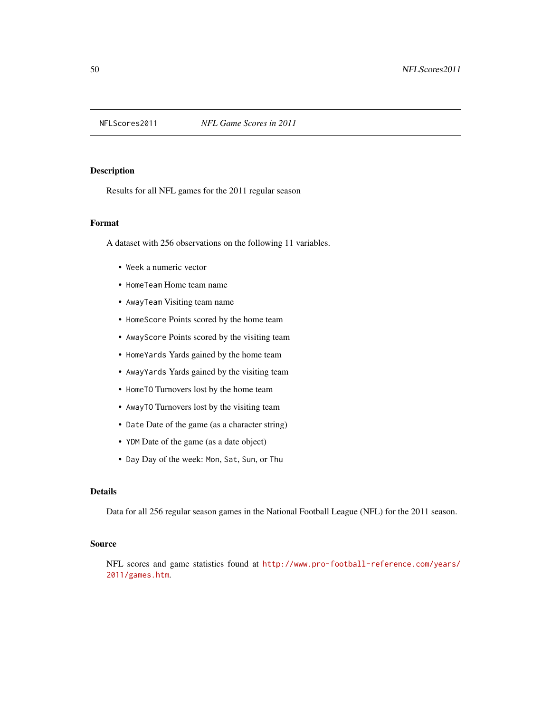Results for all NFL games for the 2011 regular season

## Format

A dataset with 256 observations on the following 11 variables.

- Week a numeric vector
- HomeTeam Home team name
- AwayTeam Visiting team name
- HomeScore Points scored by the home team
- AwayScore Points scored by the visiting team
- HomeYards Yards gained by the home team
- AwayYards Yards gained by the visiting team
- HomeTO Turnovers lost by the home team
- AwayTO Turnovers lost by the visiting team
- Date Date of the game (as a character string)
- YDM Date of the game (as a date object)
- Day Day of the week: Mon, Sat, Sun, or Thu

## Details

Data for all 256 regular season games in the National Football League (NFL) for the 2011 season.

## Source

NFL scores and game statistics found at [http://www.pro-football-reference.com/years/](http://www.pro-football-reference.com/years/2011/games.htm) [2011/games.htm](http://www.pro-football-reference.com/years/2011/games.htm).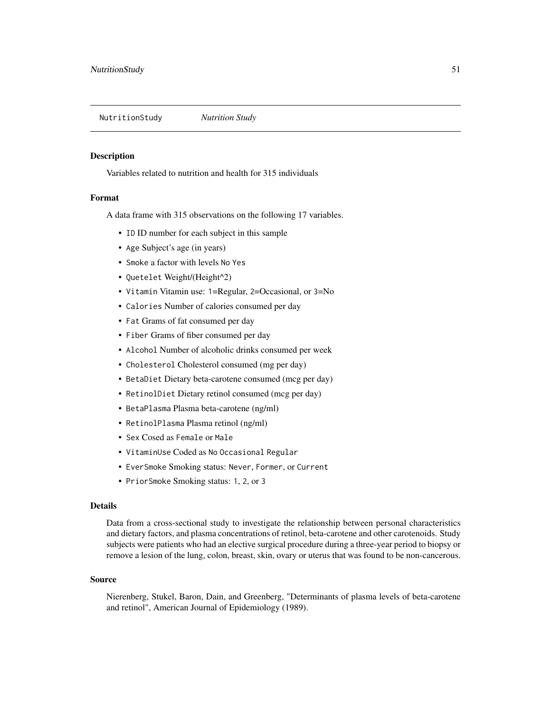NutritionStudy *Nutrition Study*

### Description

Variables related to nutrition and health for 315 individuals

## Format

A data frame with 315 observations on the following 17 variables.

- ID ID number for each subject in this sample
- Age Subject's age (in years)
- Smoke a factor with levels No Yes
- Quetelet Weight/(Height^2)
- Vitamin Vitamin use: 1=Regular, 2=Occasional, or 3=No
- Calories Number of calories consumed per day
- Fat Grams of fat consumed per day
- Fiber Grams of fiber consumed per day
- Alcohol Number of alcoholic drinks consumed per week
- Cholesterol Cholesterol consumed (mg per day)
- BetaDiet Dietary beta-carotene consumed (mcg per day)
- RetinolDiet Dietary retinol consumed (mcg per day)
- BetaPlasma Plasma beta-carotene (ng/ml)
- RetinolPlasma Plasma retinol (ng/ml)
- Sex Cosed as Female or Male
- VitaminUse Coded as No Occasional Regular
- EverSmoke Smoking status: Never, Former, or Current
- PriorSmoke Smoking status: 1, 2, or 3

#### Details

Data from a cross-sectional study to investigate the relationship between personal characteristics and dietary factors, and plasma concentrations of retinol, beta-carotene and other carotenoids. Study subjects were patients who had an elective surgical procedure during a three-year period to biopsy or remove a lesion of the lung, colon, breast, skin, ovary or uterus that was found to be non-cancerous.

## Source

Nierenberg, Stukel, Baron, Dain, and Greenberg, "Determinants of plasma levels of beta-carotene and retinol", American Journal of Epidemiology (1989).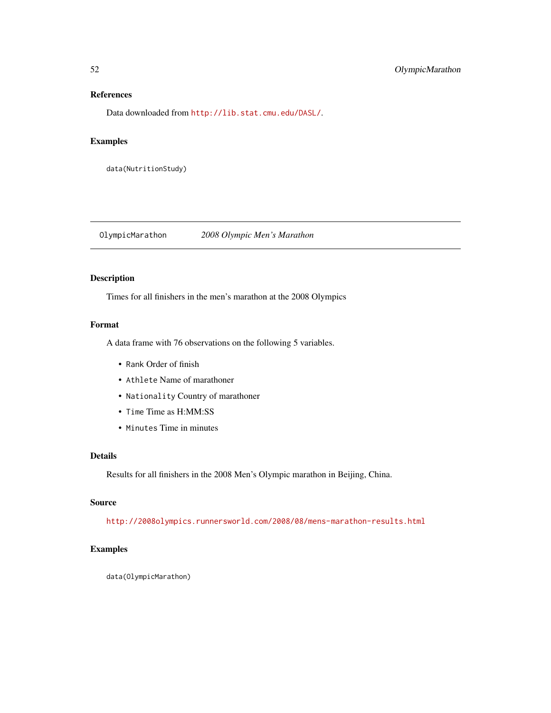# References

Data downloaded from <http://lib.stat.cmu.edu/DASL/>.

## Examples

data(NutritionStudy)

OlympicMarathon *2008 Olympic Men's Marathon*

# Description

Times for all finishers in the men's marathon at the 2008 Olympics

# Format

A data frame with 76 observations on the following 5 variables.

- Rank Order of finish
- Athlete Name of marathoner
- Nationality Country of marathoner
- Time Time as H:MM:SS
- Minutes Time in minutes

# Details

Results for all finishers in the 2008 Men's Olympic marathon in Beijing, China.

# Source

<http://2008olympics.runnersworld.com/2008/08/mens-marathon-results.html>

# Examples

data(OlympicMarathon)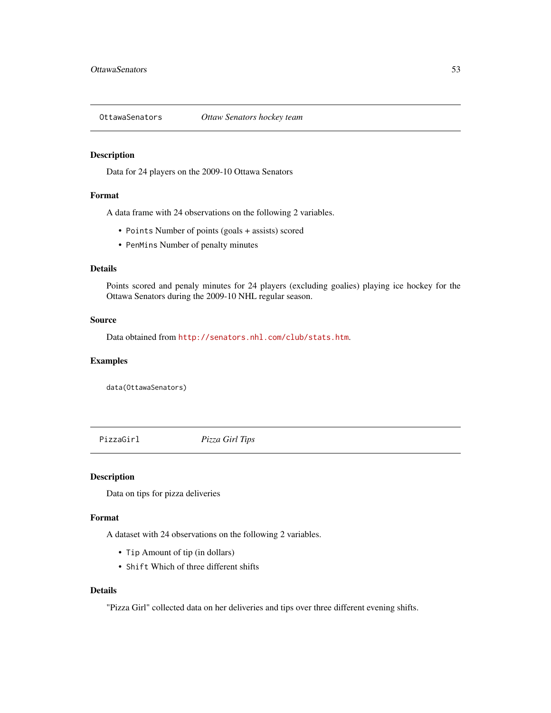Data for 24 players on the 2009-10 Ottawa Senators

## Format

A data frame with 24 observations on the following 2 variables.

- Points Number of points (goals + assists) scored
- PenMins Number of penalty minutes

### Details

Points scored and penaly minutes for 24 players (excluding goalies) playing ice hockey for the Ottawa Senators during the 2009-10 NHL regular season.

#### Source

Data obtained from <http://senators.nhl.com/club/stats.htm>.

# Examples

data(OttawaSenators)

PizzaGirl *Pizza Girl Tips*

#### Description

Data on tips for pizza deliveries

#### Format

A dataset with 24 observations on the following 2 variables.

- Tip Amount of tip (in dollars)
- Shift Which of three different shifts

## Details

"Pizza Girl" collected data on her deliveries and tips over three different evening shifts.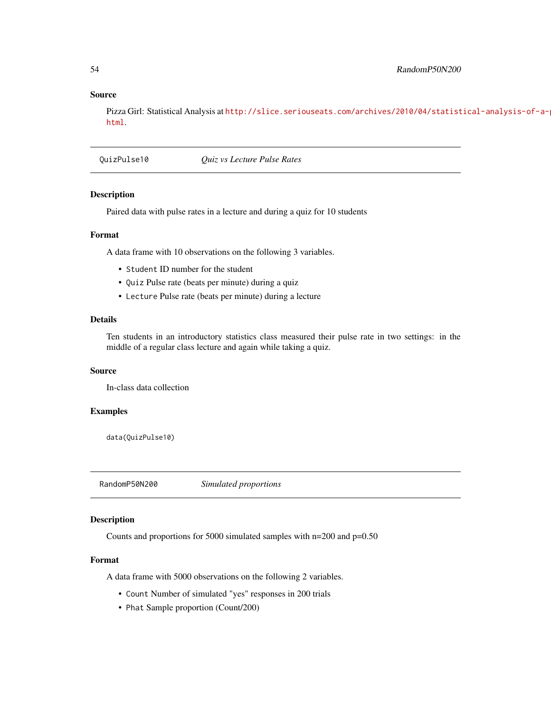### Source

Pizza Girl: Statistical Analysis at [http://slice.seriouseats.com/archives/2010/04/statist](http://slice.seriouseats.com/archives/2010/04/statistical-analysis-of-a-pizza-delivery-shift-20100429.html)ical-analysis-of-a[html](http://slice.seriouseats.com/archives/2010/04/statistical-analysis-of-a-pizza-delivery-shift-20100429.html).

QuizPulse10 *Quiz vs Lecture Pulse Rates*

#### Description

Paired data with pulse rates in a lecture and during a quiz for 10 students

### Format

A data frame with 10 observations on the following 3 variables.

- Student ID number for the student
- Quiz Pulse rate (beats per minute) during a quiz
- Lecture Pulse rate (beats per minute) during a lecture

## Details

Ten students in an introductory statistics class measured their pulse rate in two settings: in the middle of a regular class lecture and again while taking a quiz.

## Source

In-class data collection

### Examples

data(QuizPulse10)

RandomP50N200 *Simulated proportions*

# Description

Counts and proportions for 5000 simulated samples with n=200 and p=0.50

## Format

A data frame with 5000 observations on the following 2 variables.

- Count Number of simulated "yes" responses in 200 trials
- Phat Sample proportion (Count/200)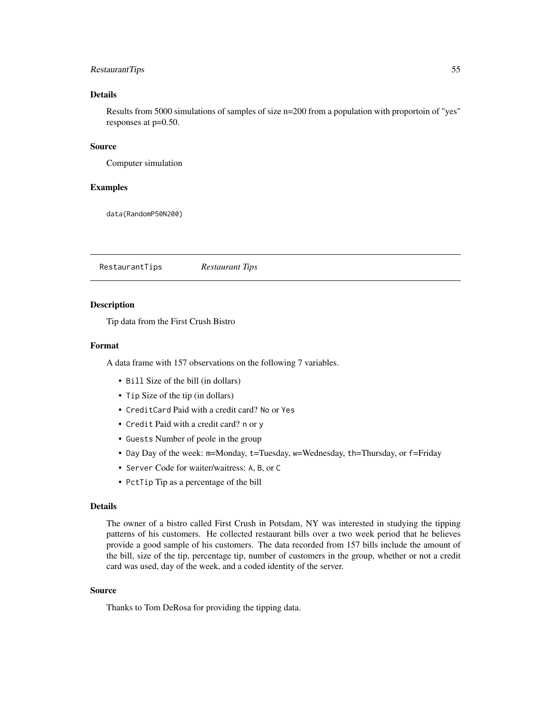### RestaurantTips 55

# Details

Results from 5000 simulations of samples of size n=200 from a population with proportoin of "yes" responses at p=0.50.

### Source

Computer simulation

### Examples

data(RandomP50N200)

RestaurantTips *Restaurant Tips*

## Description

Tip data from the First Crush Bistro

## Format

A data frame with 157 observations on the following 7 variables.

- Bill Size of the bill (in dollars)
- Tip Size of the tip (in dollars)
- CreditCard Paid with a credit card? No or Yes
- Credit Paid with a credit card? n or y
- Guests Number of peole in the group
- Day Day of the week: m=Monday, t=Tuesday, w=Wednesday, th=Thursday, or f=Friday
- Server Code for waiter/waitress: A, B, or C
- PctTip Tip as a percentage of the bill

#### Details

The owner of a bistro called First Crush in Potsdam, NY was interested in studying the tipping patterns of his customers. He collected restaurant bills over a two week period that he believes provide a good sample of his customers. The data recorded from 157 bills include the amount of the bill, size of the tip, percentage tip, number of customers in the group, whether or not a credit card was used, day of the week, and a coded identity of the server.

## Source

Thanks to Tom DeRosa for providing the tipping data.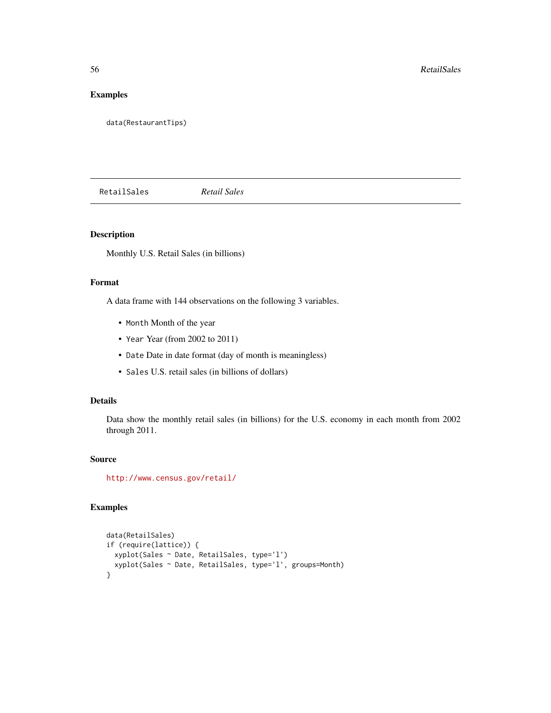# Examples

data(RestaurantTips)

RetailSales *Retail Sales*

## Description

Monthly U.S. Retail Sales (in billions)

## Format

A data frame with 144 observations on the following 3 variables.

- Month Month of the year
- Year Year (from 2002 to 2011)
- Date Date in date format (day of month is meaningless)
- Sales U.S. retail sales (in billions of dollars)

# Details

Data show the monthly retail sales (in billions) for the U.S. economy in each month from 2002 through 2011.

## Source

<http://www.census.gov/retail/>

# Examples

```
data(RetailSales)
if (require(lattice)) {
  xyplot(Sales ~ Date, RetailSales, type='l')
  xyplot(Sales ~ Date, RetailSales, type='l', groups=Month)
}
```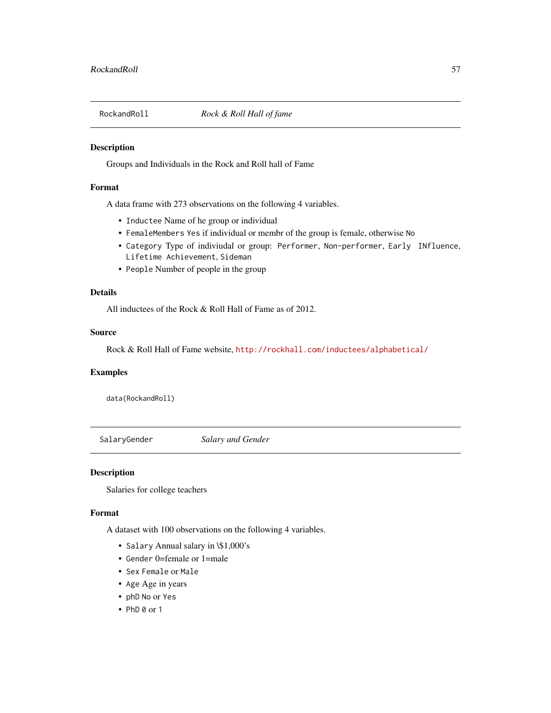Groups and Individuals in the Rock and Roll hall of Fame

## Format

A data frame with 273 observations on the following 4 variables.

- Inductee Name of he group or individual
- FemaleMembers Yes if individual or membr of the group is female, otherwise No
- Category Type of indiviudal or group: Performer, Non-performer, Early INfluence, Lifetime Achievement, Sideman
- People Number of people in the group

# Details

All inductees of the Rock & Roll Hall of Fame as of 2012.

### Source

Rock & Roll Hall of Fame website, <http://rockhall.com/inductees/alphabetical/>

### Examples

data(RockandRoll)

SalaryGender *Salary and Gender*

### Description

Salaries for college teachers

#### Format

A dataset with 100 observations on the following 4 variables.

- Salary Annual salary in \\$1,000's
- Gender 0=female or 1=male
- Sex Female or Male
- Age Age in years
- phD No or Yes
- $\cdot$  PhD 0 or 1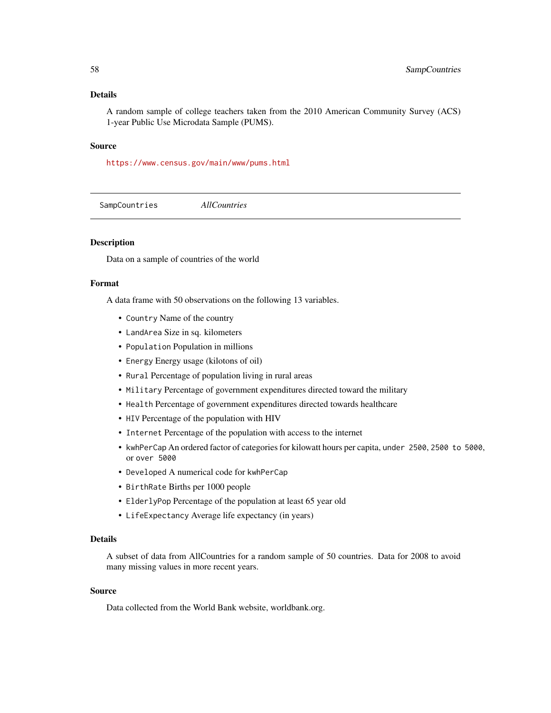## Details

A random sample of college teachers taken from the 2010 American Community Survey (ACS) 1-year Public Use Microdata Sample (PUMS).

#### Source

<https://www.census.gov/main/www/pums.html>

SampCountries *AllCountries*

# Description

Data on a sample of countries of the world

## Format

A data frame with 50 observations on the following 13 variables.

- Country Name of the country
- LandArea Size in sq. kilometers
- Population Population in millions
- Energy Energy usage (kilotons of oil)
- Rural Percentage of population living in rural areas
- Military Percentage of government expenditures directed toward the military
- Health Percentage of government expenditures directed towards healthcare
- HIV Percentage of the population with HIV
- Internet Percentage of the population with access to the internet
- kwhPerCap An ordered factor of categories for kilowatt hours per capita, under 2500, 2500 to 5000, or over 5000
- Developed A numerical code for kwhPerCap
- BirthRate Births per 1000 people
- ElderlyPop Percentage of the population at least 65 year old
- LifeExpectancy Average life expectancy (in years)

# Details

A subset of data from AllCountries for a random sample of 50 countries. Data for 2008 to avoid many missing values in more recent years.

### Source

Data collected from the World Bank website, worldbank.org.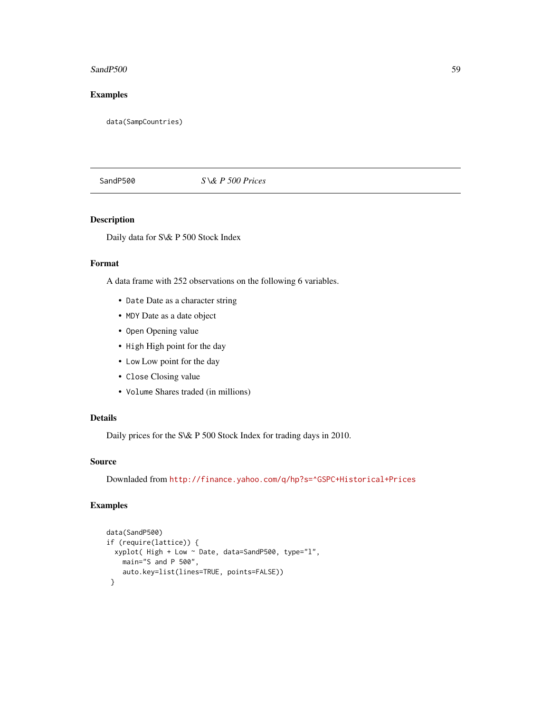### $SandP500$  59

# Examples

data(SampCountries)

# SandP500 *S \& P 500 Prices*

# Description

Daily data for S\& P 500 Stock Index

# Format

A data frame with 252 observations on the following 6 variables.

- Date Date as a character string
- MDY Date as a date object
- Open Opening value
- High High point for the day
- Low Low point for the day
- Close Closing value
- Volume Shares traded (in millions)

## Details

Daily prices for the S\& P 500 Stock Index for trading days in 2010.

## Source

Downladed from <http://finance.yahoo.com/q/hp?s=^GSPC+Historical+Prices>

# Examples

```
data(SandP500)
if (require(lattice)) {
 xyplot( High + Low ~ Date, data=SandP500, type="l",
   main="S and P 500",
   auto.key=list(lines=TRUE, points=FALSE))
}
```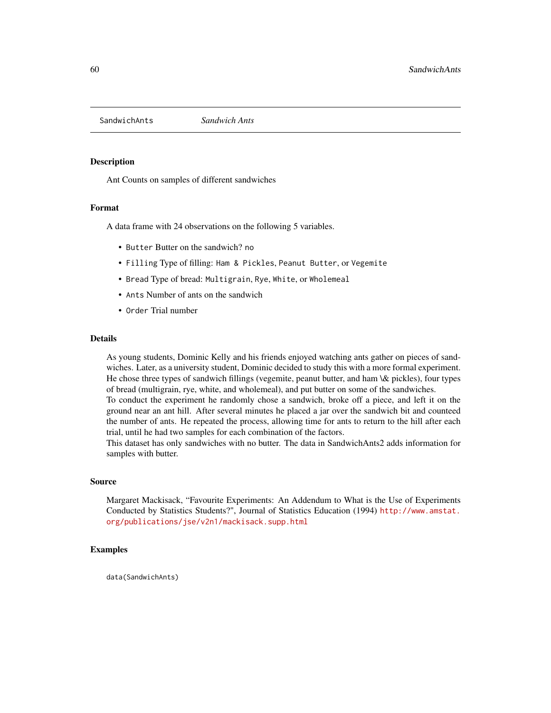SandwichAnts *Sandwich Ants*

### Description

Ant Counts on samples of different sandwiches

## Format

A data frame with 24 observations on the following 5 variables.

- Butter Butter on the sandwich? no
- Filling Type of filling: Ham & Pickles, Peanut Butter, or Vegemite
- Bread Type of bread: Multigrain, Rye, White, or Wholemeal
- Ants Number of ants on the sandwich
- Order Trial number

### Details

As young students, Dominic Kelly and his friends enjoyed watching ants gather on pieces of sandwiches. Later, as a university student, Dominic decided to study this with a more formal experiment. He chose three types of sandwich fillings (vegemite, peanut butter, and ham \& pickles), four types of bread (multigrain, rye, white, and wholemeal), and put butter on some of the sandwiches.

To conduct the experiment he randomly chose a sandwich, broke off a piece, and left it on the ground near an ant hill. After several minutes he placed a jar over the sandwich bit and counteed the number of ants. He repeated the process, allowing time for ants to return to the hill after each trial, until he had two samples for each combination of the factors.

This dataset has only sandwiches with no butter. The data in SandwichAnts2 adds information for samples with butter.

### Source

Margaret Mackisack, "Favourite Experiments: An Addendum to What is the Use of Experiments Conducted by Statistics Students?", Journal of Statistics Education (1994) [http://www.amstat.](http://www.amstat.org/publications/jse/v2n1/mackisack.supp.html) [org/publications/jse/v2n1/mackisack.supp.html](http://www.amstat.org/publications/jse/v2n1/mackisack.supp.html)

# Examples

data(SandwichAnts)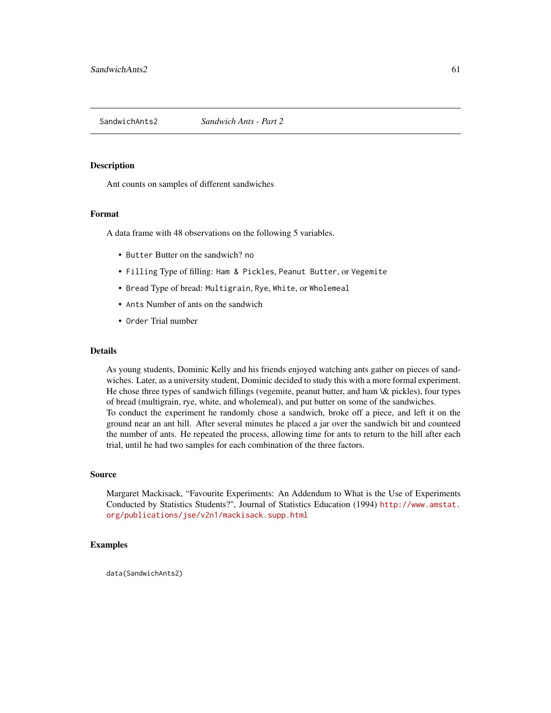Ant counts on samples of different sandwiches

#### Format

A data frame with 48 observations on the following 5 variables.

- Butter Butter on the sandwich? no
- Filling Type of filling: Ham & Pickles, Peanut Butter, or Vegemite
- Bread Type of bread: Multigrain, Rye, White, or Wholemeal
- Ants Number of ants on the sandwich
- Order Trial number

### Details

As young students, Dominic Kelly and his friends enjoyed watching ants gather on pieces of sandwiches. Later, as a university student, Dominic decided to study this with a more formal experiment. He chose three types of sandwich fillings (vegemite, peanut butter, and ham \& pickles), four types of bread (multigrain, rye, white, and wholemeal), and put butter on some of the sandwiches. To conduct the experiment he randomly chose a sandwich, broke off a piece, and left it on the ground near an ant hill. After several minutes he placed a jar over the sandwich bit and counteed the number of ants. He repeated the process, allowing time for ants to return to the hill after each trial, until he had two samples for each combination of the three factors.

#### Source

Margaret Mackisack, "Favourite Experiments: An Addendum to What is the Use of Experiments Conducted by Statistics Students?", Journal of Statistics Education (1994) [http://www.amstat.](http://www.amstat.org/publications/jse/v2n1/mackisack.supp.html) [org/publications/jse/v2n1/mackisack.supp.html](http://www.amstat.org/publications/jse/v2n1/mackisack.supp.html)

## Examples

data(SandwichAnts2)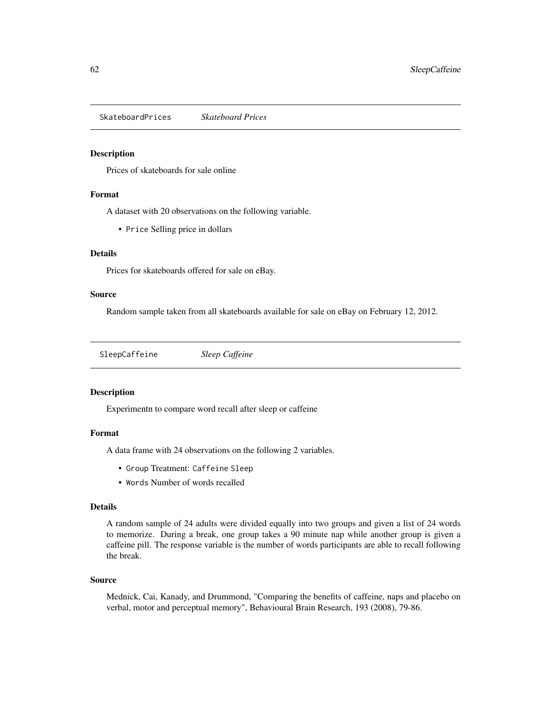SkateboardPrices *Skateboard Prices*

### Description

Prices of skateboards for sale online

## Format

A dataset with 20 observations on the following variable.

• Price Selling price in dollars

## Details

Prices for skateboards offered for sale on eBay.

### Source

Random sample taken from all skateboards available for sale on eBay on February 12, 2012.

SleepCaffeine *Sleep Caffeine*

### Description

Experimentn to compare word recall after sleep or caffeine

### Format

A data frame with 24 observations on the following 2 variables.

- Group Treatment: Caffeine Sleep
- Words Number of words recalled

### Details

A random sample of 24 adults were divided equally into two groups and given a list of 24 words to memorize. During a break, one group takes a 90 minute nap while another group is given a caffeine pill. The response variable is the number of words participants are able to recall following the break.

#### Source

Mednick, Cai, Kanady, and Drummond, "Comparing the benefits of caffeine, naps and placebo on verbal, motor and perceptual memory", Behavioural Brain Research, 193 (2008), 79-86.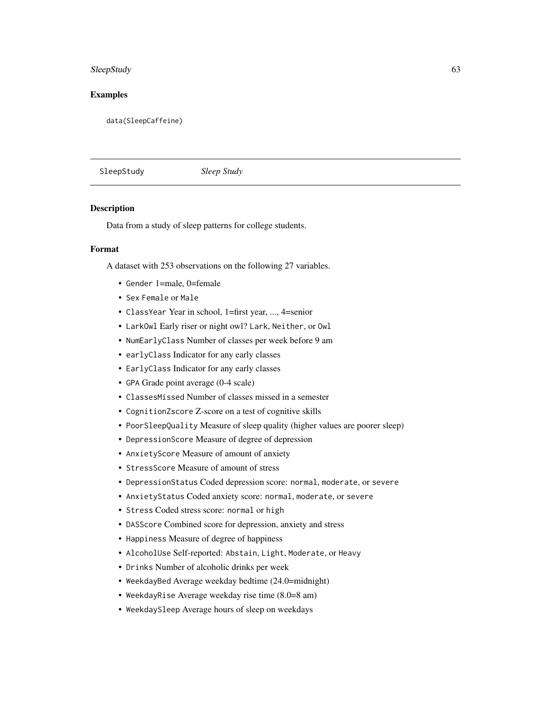# SleepStudy 63

## Examples

data(SleepCaffeine)

SleepStudy *Sleep Study*

#### Description

Data from a study of sleep patterns for college students.

### Format

A dataset with 253 observations on the following 27 variables.

- Gender 1=male, 0=female
- Sex Female or Male
- ClassYear Year in school, 1=first year, ..., 4=senior
- LarkOwl Early riser or night owl? Lark, Neither, or Owl
- NumEarlyClass Number of classes per week before 9 am
- earlyClass Indicator for any early classes
- EarlyClass Indicator for any early classes
- GPA Grade point average (0-4 scale)
- ClassesMissed Number of classes missed in a semester
- CognitionZscore Z-score on a test of cognitive skills
- PoorSleepQuality Measure of sleep quality (higher values are poorer sleep)
- DepressionScore Measure of degree of depression
- AnxietyScore Measure of amount of anxiety
- StressScore Measure of amount of stress
- DepressionStatus Coded depression score: normal, moderate, or severe
- AnxietyStatus Coded anxiety score: normal, moderate, or severe
- Stress Coded stress score: normal or high
- DASScore Combined score for depression, anxiety and stress
- Happiness Measure of degree of happiness
- AlcoholUse Self-reported: Abstain, Light, Moderate, or Heavy
- Drinks Number of alcoholic drinks per week
- WeekdayBed Average weekday bedtime (24.0=midnight)
- WeekdayRise Average weekday rise time (8.0=8 am)
- WeekdaySleep Average hours of sleep on weekdays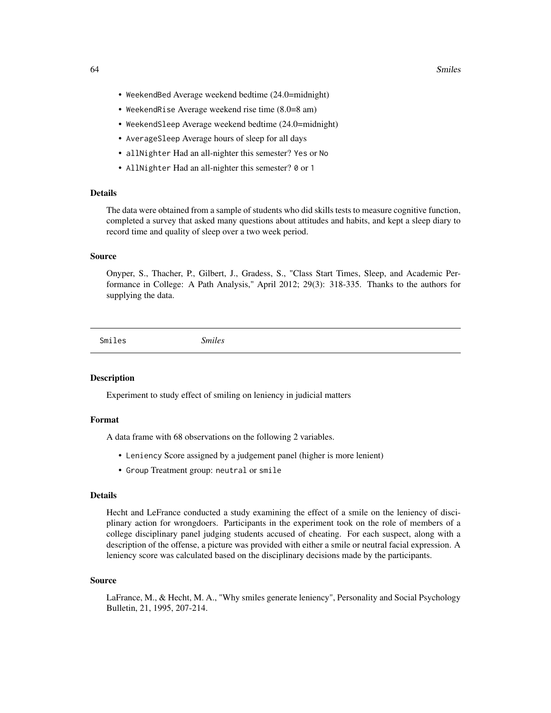#### 64 Smiles

- WeekendBed Average weekend bedtime (24.0=midnight)
- WeekendRise Average weekend rise time (8.0=8 am)
- WeekendSleep Average weekend bedtime (24.0=midnight)
- AverageSleep Average hours of sleep for all days
- allNighter Had an all-nighter this semester? Yes or No
- AllNighter Had an all-nighter this semester? 0 or 1

# Details

The data were obtained from a sample of students who did skills tests to measure cognitive function, completed a survey that asked many questions about attitudes and habits, and kept a sleep diary to record time and quality of sleep over a two week period.

### Source

Onyper, S., Thacher, P., Gilbert, J., Gradess, S., "Class Start Times, Sleep, and Academic Performance in College: A Path Analysis," April 2012; 29(3): 318-335. Thanks to the authors for supplying the data.

Smiles *Smiles*

### **Description**

Experiment to study effect of smiling on leniency in judicial matters

#### Format

A data frame with 68 observations on the following 2 variables.

- Leniency Score assigned by a judgement panel (higher is more lenient)
- Group Treatment group: neutral or smile

# Details

Hecht and LeFrance conducted a study examining the effect of a smile on the leniency of disciplinary action for wrongdoers. Participants in the experiment took on the role of members of a college disciplinary panel judging students accused of cheating. For each suspect, along with a description of the offense, a picture was provided with either a smile or neutral facial expression. A leniency score was calculated based on the disciplinary decisions made by the participants.

### Source

LaFrance, M., & Hecht, M. A., "Why smiles generate leniency", Personality and Social Psychology Bulletin, 21, 1995, 207-214.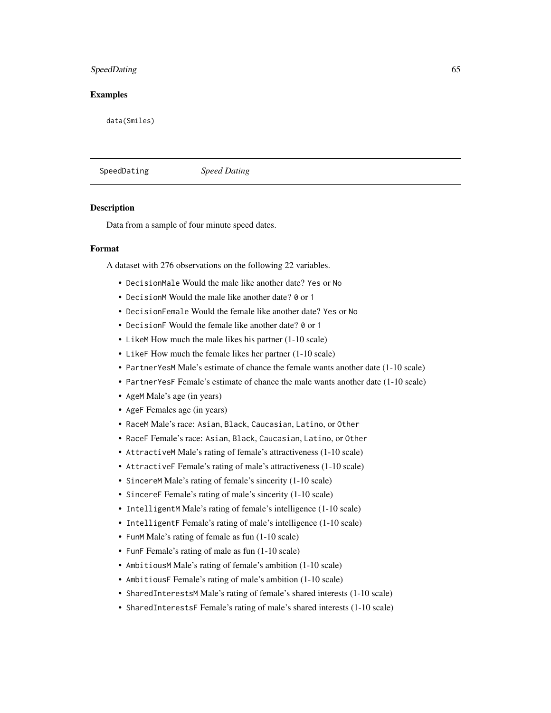## SpeedDating 65

## Examples

data(Smiles)

SpeedDating *Speed Dating*

### Description

Data from a sample of four minute speed dates.

# Format

A dataset with 276 observations on the following 22 variables.

- DecisionMale Would the male like another date? Yes or No
- DecisionM Would the male like another date? 0 or 1
- DecisionFemale Would the female like another date? Yes or No
- DecisionF Would the female like another date? 0 or 1
- LikeM How much the male likes his partner (1-10 scale)
- LikeF How much the female likes her partner (1-10 scale)
- PartnerYesM Male's estimate of chance the female wants another date (1-10 scale)
- PartnerYesF Female's estimate of chance the male wants another date (1-10 scale)
- AgeM Male's age (in years)
- AgeF Females age (in years)
- RaceM Male's race: Asian, Black, Caucasian, Latino, or Other
- RaceF Female's race: Asian, Black, Caucasian, Latino, or Other
- AttractiveM Male's rating of female's attractiveness (1-10 scale)
- AttractiveF Female's rating of male's attractiveness (1-10 scale)
- SincereM Male's rating of female's sincerity (1-10 scale)
- SincereF Female's rating of male's sincerity (1-10 scale)
- IntelligentM Male's rating of female's intelligence (1-10 scale)
- IntelligentF Female's rating of male's intelligence (1-10 scale)
- FunM Male's rating of female as fun (1-10 scale)
- FunF Female's rating of male as fun (1-10 scale)
- AmbitiousM Male's rating of female's ambition (1-10 scale)
- AmbitiousF Female's rating of male's ambition (1-10 scale)
- SharedInterestsM Male's rating of female's shared interests (1-10 scale)
- SharedInterestsF Female's rating of male's shared interests (1-10 scale)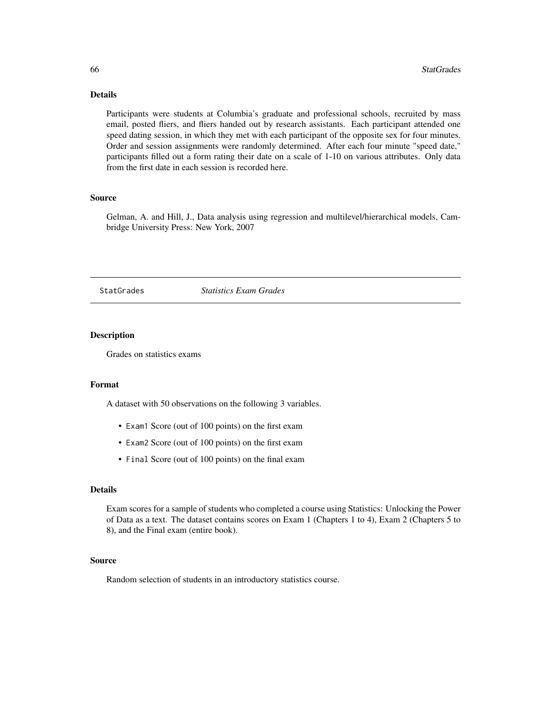# Details

Participants were students at Columbia's graduate and professional schools, recruited by mass email, posted fliers, and fliers handed out by research assistants. Each participant attended one speed dating session, in which they met with each participant of the opposite sex for four minutes. Order and session assignments were randomly determined. After each four minute "speed date," participants filled out a form rating their date on a scale of 1-10 on various attributes. Only data from the first date in each session is recorded here.

# Source

Gelman, A. and Hill, J., Data analysis using regression and multilevel/hierarchical models, Cambridge University Press: New York, 2007

StatGrades *Statistics Exam Grades*

### Description

Grades on statistics exams

#### Format

A dataset with 50 observations on the following 3 variables.

- Exam1 Score (out of 100 points) on the first exam
- Exam2 Score (out of 100 points) on the first exam
- Final Score (out of 100 points) on the final exam

## Details

Exam scores for a sample of students who completed a course using Statistics: Unlocking the Power of Data as a text. The dataset contains scores on Exam 1 (Chapters 1 to 4), Exam 2 (Chapters 5 to 8), and the Final exam (entire book).

### Source

Random selection of students in an introductory statistics course.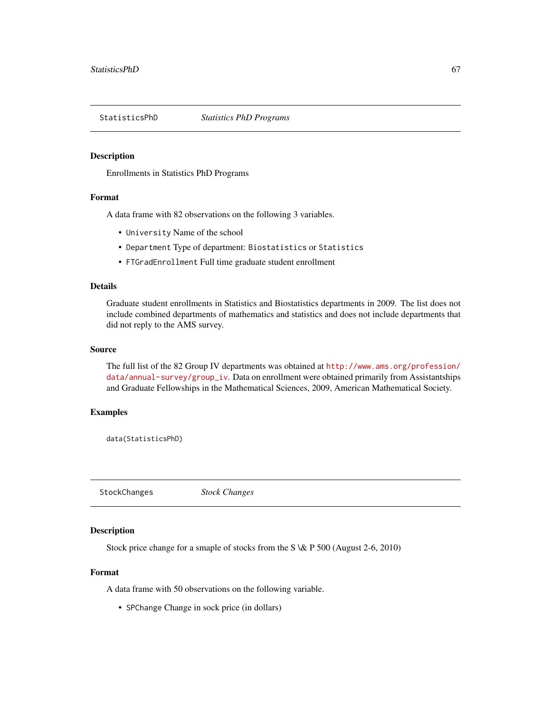Enrollments in Statistics PhD Programs

## Format

A data frame with 82 observations on the following 3 variables.

- University Name of the school
- Department Type of department: Biostatistics or Statistics
- FTGradEnrollment Full time graduate student enrollment

## Details

Graduate student enrollments in Statistics and Biostatistics departments in 2009. The list does not include combined departments of mathematics and statistics and does not include departments that did not reply to the AMS survey.

#### Source

The full list of the 82 Group IV departments was obtained at [http://www.ams.org/profession/](http://www.ams.org/profession/data/annual-survey/group_iv) [data/annual-survey/group\\_iv](http://www.ams.org/profession/data/annual-survey/group_iv). Data on enrollment were obtained primarily from Assistantships and Graduate Fellowships in the Mathematical Sciences, 2009, American Mathematical Society.

#### Examples

data(StatisticsPhD)

StockChanges *Stock Changes*

### Description

Stock price change for a smaple of stocks from the S \& P 500 (August 2-6, 2010)

#### Format

A data frame with 50 observations on the following variable.

• SPChange Change in sock price (in dollars)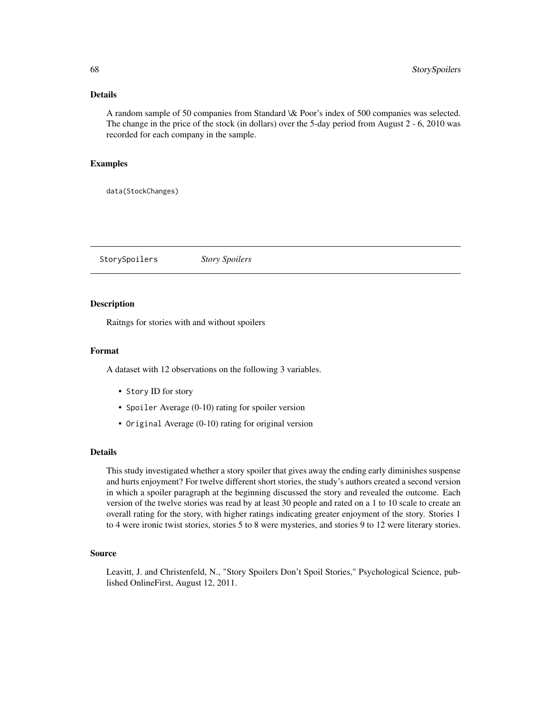# Details

A random sample of 50 companies from Standard \& Poor's index of 500 companies was selected. The change in the price of the stock (in dollars) over the 5-day period from August 2 - 6, 2010 was recorded for each company in the sample.

# Examples

data(StockChanges)

StorySpoilers *Story Spoilers*

#### **Description**

Raitngs for stories with and without spoilers

## Format

A dataset with 12 observations on the following 3 variables.

- Story ID for story
- Spoiler Average (0-10) rating for spoiler version
- Original Average (0-10) rating for original version

### Details

This study investigated whether a story spoiler that gives away the ending early diminishes suspense and hurts enjoyment? For twelve different short stories, the study's authors created a second version in which a spoiler paragraph at the beginning discussed the story and revealed the outcome. Each version of the twelve stories was read by at least 30 people and rated on a 1 to 10 scale to create an overall rating for the story, with higher ratings indicating greater enjoyment of the story. Stories 1 to 4 were ironic twist stories, stories 5 to 8 were mysteries, and stories 9 to 12 were literary stories.

#### Source

Leavitt, J. and Christenfeld, N., "Story Spoilers Don't Spoil Stories," Psychological Science, published OnlineFirst, August 12, 2011.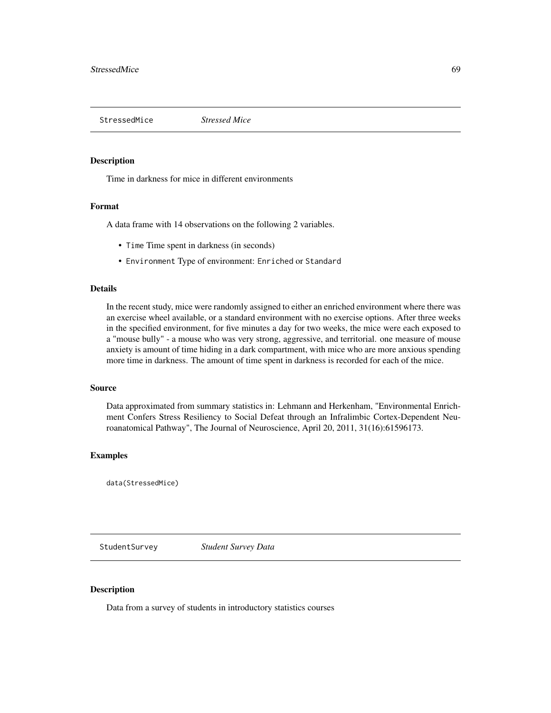StressedMice *Stressed Mice*

#### Description

Time in darkness for mice in different environments

#### Format

A data frame with 14 observations on the following 2 variables.

- Time Time spent in darkness (in seconds)
- Environment Type of environment: Enriched or Standard

## Details

In the recent study, mice were randomly assigned to either an enriched environment where there was an exercise wheel available, or a standard environment with no exercise options. After three weeks in the specified environment, for five minutes a day for two weeks, the mice were each exposed to a "mouse bully" - a mouse who was very strong, aggressive, and territorial. one measure of mouse anxiety is amount of time hiding in a dark compartment, with mice who are more anxious spending more time in darkness. The amount of time spent in darkness is recorded for each of the mice.

#### Source

Data approximated from summary statistics in: Lehmann and Herkenham, "Environmental Enrichment Confers Stress Resiliency to Social Defeat through an Infralimbic Cortex-Dependent Neuroanatomical Pathway", The Journal of Neuroscience, April 20, 2011, 31(16):61596173.

## Examples

data(StressedMice)

StudentSurvey *Student Survey Data*

### Description

Data from a survey of students in introductory statistics courses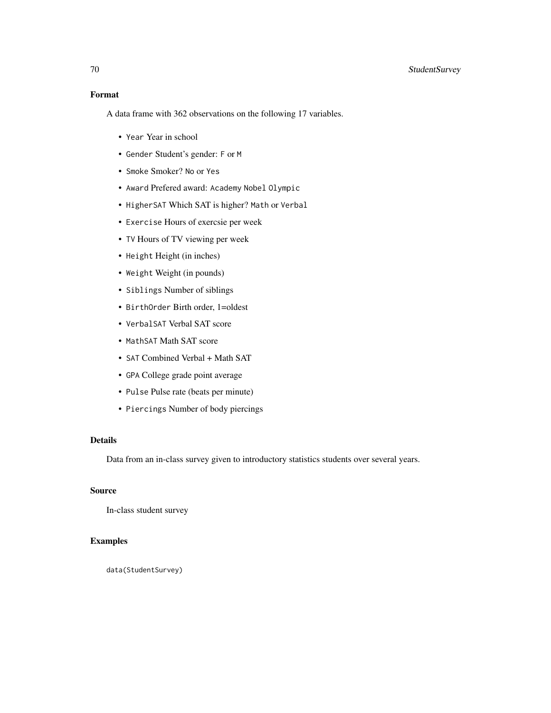# Format

A data frame with 362 observations on the following 17 variables.

- Year Year in school
- Gender Student's gender: F or M
- Smoke Smoker? No or Yes
- Award Prefered award: Academy Nobel Olympic
- HigherSAT Which SAT is higher? Math or Verbal
- Exercise Hours of exercsie per week
- TV Hours of TV viewing per week
- Height Height (in inches)
- Weight Weight (in pounds)
- Siblings Number of siblings
- BirthOrder Birth order, 1=oldest
- VerbalSAT Verbal SAT score
- MathSAT Math SAT score
- SAT Combined Verbal + Math SAT
- GPA College grade point average
- Pulse Pulse rate (beats per minute)
- Piercings Number of body piercings

# Details

Data from an in-class survey given to introductory statistics students over several years.

## Source

In-class student survey

# Examples

data(StudentSurvey)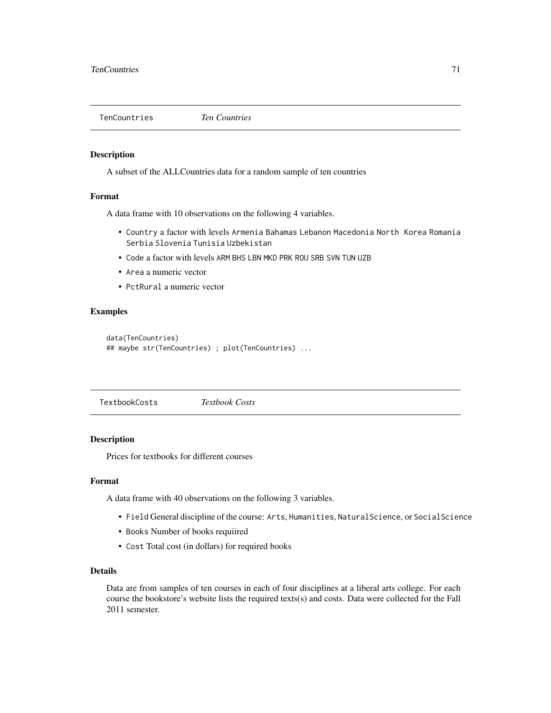TenCountries *Ten Countries*

#### Description

A subset of the ALLCountries data for a random sample of ten countries

### Format

A data frame with 10 observations on the following 4 variables.

- Country a factor with levels Armenia Bahamas Lebanon Macedonia North Korea Romania Serbia Slovenia Tunisia Uzbekistan
- Code a factor with levels ARM BHS LBN MKD PRK ROU SRB SVN TUN UZB
- Area a numeric vector
- PctRural a numeric vector

# Examples

```
data(TenCountries)
## maybe str(TenCountries) ; plot(TenCountries) ...
```
TextbookCosts *Textbook Costs*

## Description

Prices for textbooks for different courses

## Format

A data frame with 40 observations on the following 3 variables.

- Field General discipline of the course: Arts, Humanities, NaturalScience, or SocialScience
- Books Number of books requiired
- Cost Total cost (in dollars) for required books

## Details

Data are from samples of ten courses in each of four disciplines at a liberal arts college. For each course the bookstore's website lists the required texts(s) and costs. Data were collected for the Fall 2011 semester.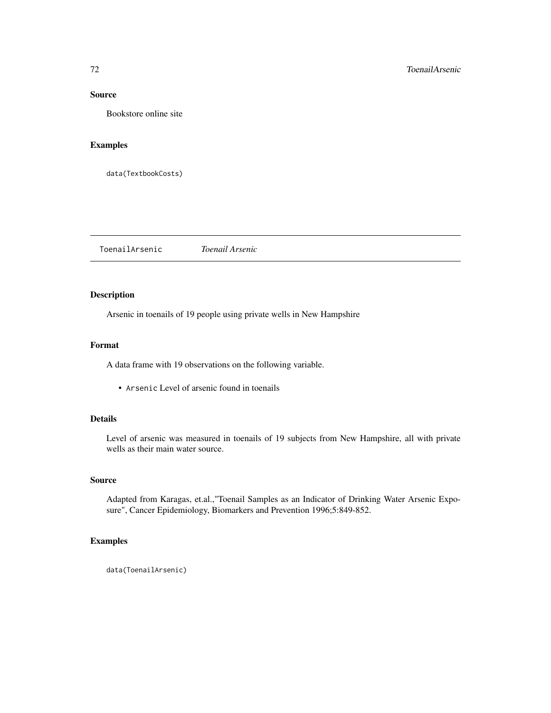## Source

Bookstore online site

# Examples

data(TextbookCosts)

ToenailArsenic *Toenail Arsenic*

# Description

Arsenic in toenails of 19 people using private wells in New Hampshire

## Format

A data frame with 19 observations on the following variable.

• Arsenic Level of arsenic found in toenails

## Details

Level of arsenic was measured in toenails of 19 subjects from New Hampshire, all with private wells as their main water source.

# Source

Adapted from Karagas, et.al.,"Toenail Samples as an Indicator of Drinking Water Arsenic Exposure", Cancer Epidemiology, Biomarkers and Prevention 1996;5:849-852.

# Examples

data(ToenailArsenic)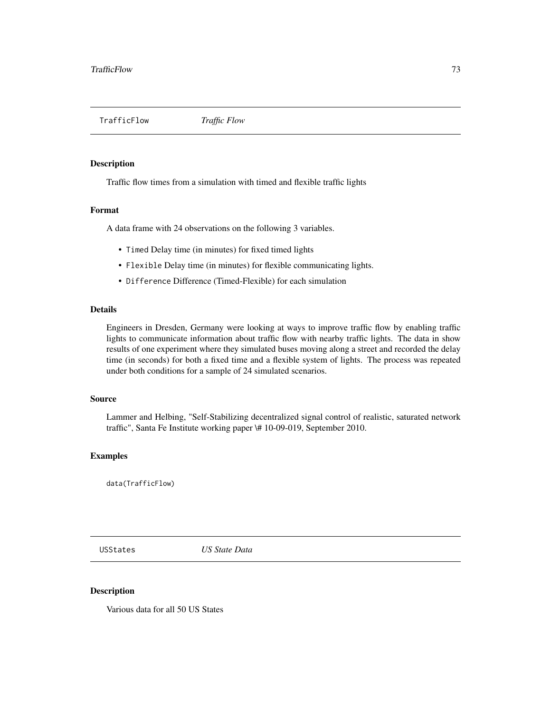<span id="page-72-0"></span>TrafficFlow *Traffic Flow*

# Description

Traffic flow times from a simulation with timed and flexible traffic lights

#### Format

A data frame with 24 observations on the following 3 variables.

- Timed Delay time (in minutes) for fixed timed lights
- Flexible Delay time (in minutes) for flexible communicating lights.
- Difference Difference (Timed-Flexible) for each simulation

# Details

Engineers in Dresden, Germany were looking at ways to improve traffic flow by enabling traffic lights to communicate information about traffic flow with nearby traffic lights. The data in show results of one experiment where they simulated buses moving along a street and recorded the delay time (in seconds) for both a fixed time and a flexible system of lights. The process was repeated under both conditions for a sample of 24 simulated scenarios.

# Source

Lammer and Helbing, "Self-Stabilizing decentralized signal control of realistic, saturated network traffic", Santa Fe Institute working paper \# 10-09-019, September 2010.

# Examples

data(TrafficFlow)

USStates *US State Data*

#### Description

Various data for all 50 US States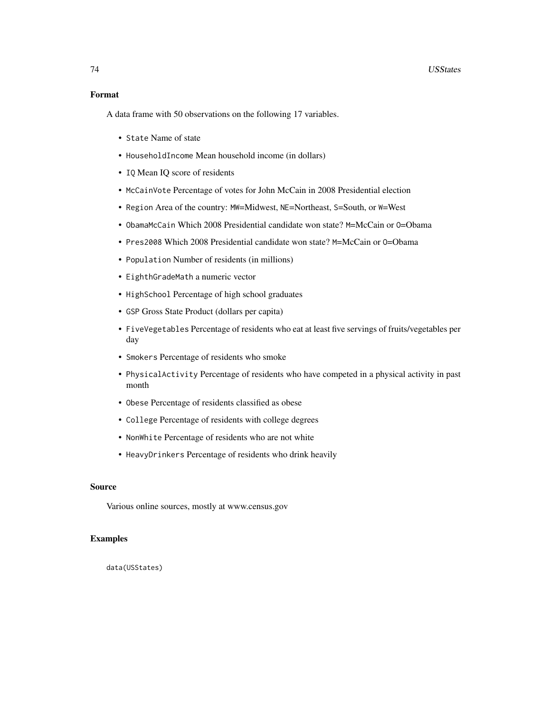# 74 USStates

# Format

A data frame with 50 observations on the following 17 variables.

- State Name of state
- HouseholdIncome Mean household income (in dollars)
- IQ Mean IQ score of residents
- McCainVote Percentage of votes for John McCain in 2008 Presidential election
- Region Area of the country: MW=Midwest, NE=Northeast, S=South, or W=West
- ObamaMcCain Which 2008 Presidential candidate won state? M=McCain or O=Obama
- Pres2008 Which 2008 Presidential candidate won state? M=McCain or O=Obama
- Population Number of residents (in millions)
- EighthGradeMath a numeric vector
- HighSchool Percentage of high school graduates
- GSP Gross State Product (dollars per capita)
- FiveVegetables Percentage of residents who eat at least five servings of fruits/vegetables per day
- Smokers Percentage of residents who smoke
- PhysicalActivity Percentage of residents who have competed in a physical activity in past month
- Obese Percentage of residents classified as obese
- College Percentage of residents with college degrees
- NonWhite Percentage of residents who are not white
- HeavyDrinkers Percentage of residents who drink heavily

# Source

Various online sources, mostly at www.census.gov

# Examples

data(USStates)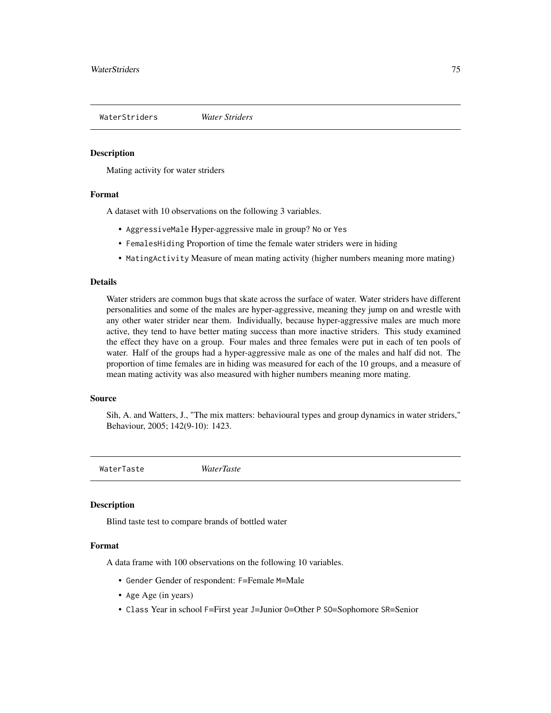<span id="page-74-0"></span>WaterStriders *Water Striders*

# Description

Mating activity for water striders

#### Format

A dataset with 10 observations on the following 3 variables.

- AggressiveMale Hyper-aggressive male in group? No or Yes
- FemalesHiding Proportion of time the female water striders were in hiding
- MatingActivity Measure of mean mating activity (higher numbers meaning more mating)

#### Details

Water striders are common bugs that skate across the surface of water. Water striders have different personalities and some of the males are hyper-aggressive, meaning they jump on and wrestle with any other water strider near them. Individually, because hyper-aggressive males are much more active, they tend to have better mating success than more inactive striders. This study examined the effect they have on a group. Four males and three females were put in each of ten pools of water. Half of the groups had a hyper-aggressive male as one of the males and half did not. The proportion of time females are in hiding was measured for each of the 10 groups, and a measure of mean mating activity was also measured with higher numbers meaning more mating.

### Source

Sih, A. and Watters, J., "The mix matters: behavioural types and group dynamics in water striders," Behaviour, 2005; 142(9-10): 1423.

WaterTaste *WaterTaste*

# **Description**

Blind taste test to compare brands of bottled water

# Format

A data frame with 100 observations on the following 10 variables.

- Gender Gender of respondent: F=Female M=Male
- Age Age (in years)
- Class Year in school F=First year J=Junior O=Other P SO=Sophomore SR=Senior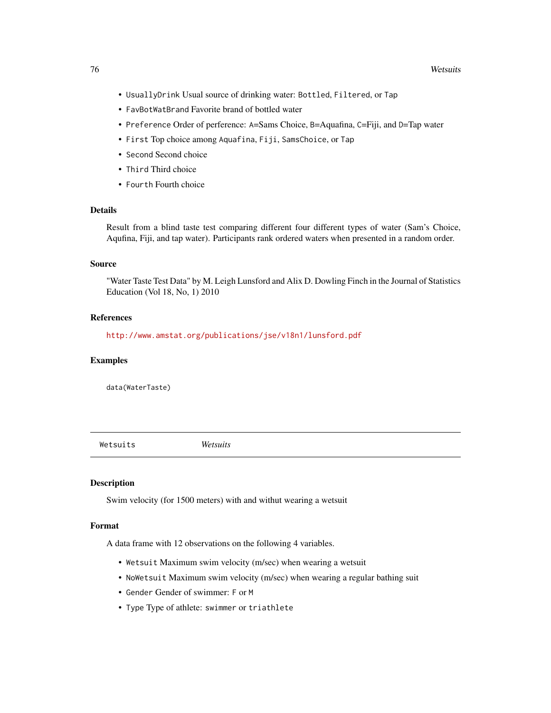- <span id="page-75-0"></span>• UsuallyDrink Usual source of drinking water: Bottled, Filtered, or Tap
- FavBotWatBrand Favorite brand of bottled water
- Preference Order of perference: A=Sams Choice, B=Aquafina, C=Fiji, and D=Tap water
- First Top choice among Aquafina, Fiji, SamsChoice, or Tap
- Second Second choice
- Third Third choice
- Fourth Fourth choice

# Details

Result from a blind taste test comparing different four different types of water (Sam's Choice, Aqufina, Fiji, and tap water). Participants rank ordered waters when presented in a random order.

# Source

"Water Taste Test Data" by M. Leigh Lunsford and Alix D. Dowling Finch in the Journal of Statistics Education (Vol 18, No, 1) 2010

# References

<http://www.amstat.org/publications/jse/v18n1/lunsford.pdf>

# Examples

data(WaterTaste)

Wetsuits *Wetsuits*

# Description

Swim velocity (for 1500 meters) with and withut wearing a wetsuit

# Format

A data frame with 12 observations on the following 4 variables.

- Wetsuit Maximum swim velocity (m/sec) when wearing a wetsuit
- NoWetsuit Maximum swim velocity (m/sec) when wearing a regular bathing suit
- Gender Gender of swimmer: F or M
- Type Type of athlete: swimmer or triathlete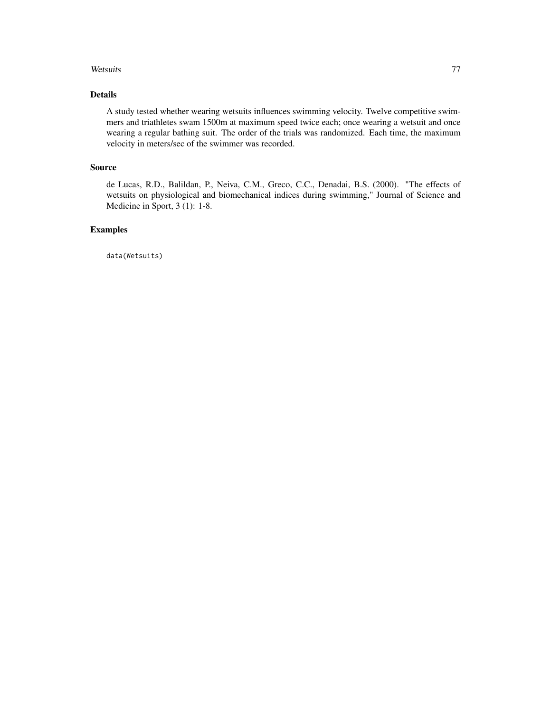# Wetsuits 77

# Details

A study tested whether wearing wetsuits influences swimming velocity. Twelve competitive swimmers and triathletes swam 1500m at maximum speed twice each; once wearing a wetsuit and once wearing a regular bathing suit. The order of the trials was randomized. Each time, the maximum velocity in meters/sec of the swimmer was recorded.

# Source

de Lucas, R.D., Balildan, P., Neiva, C.M., Greco, C.C., Denadai, B.S. (2000). "The effects of wetsuits on physiological and biomechanical indices during swimming," Journal of Science and Medicine in Sport, 3 (1): 1-8.

# Examples

data(Wetsuits)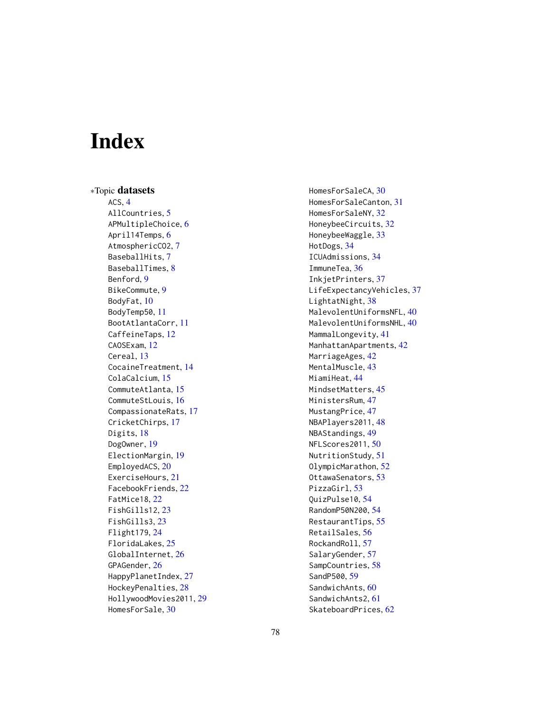# **Index**

∗Topic datasets ACS, [4](#page-3-0) AllCountries, [5](#page-4-0) APMultipleChoice, [6](#page-5-0) April14Temps, [6](#page-5-0) AtmosphericCO2, [7](#page-6-0) BaseballHits, [7](#page-6-0) BaseballTimes, [8](#page-7-0) Benford, [9](#page-8-0) BikeCommute, [9](#page-8-0) BodyFat, [10](#page-9-0) BodyTemp50, [11](#page-10-0) BootAtlantaCorr, [11](#page-10-0) CaffeineTaps, [12](#page-11-0) CAOSExam, [12](#page-11-0) Cereal, [13](#page-12-0) CocaineTreatment, [14](#page-13-0) ColaCalcium, [15](#page-14-0) CommuteAtlanta, [15](#page-14-0) CommuteStLouis, [16](#page-15-0) CompassionateRats, [17](#page-16-0) CricketChirps, [17](#page-16-0) Digits, [18](#page-17-0) DogOwner, [19](#page-18-0) ElectionMargin, [19](#page-18-0) EmployedACS, [20](#page-19-0) ExerciseHours, [21](#page-20-0) FacebookFriends, [22](#page-21-0) FatMice18, [22](#page-21-0) FishGills12, [23](#page-22-0) FishGills3, [23](#page-22-0) Flight179, [24](#page-23-0) FloridaLakes, [25](#page-24-0) GlobalInternet, [26](#page-25-0) GPAGender, [26](#page-25-0) HappyPlanetIndex, [27](#page-26-0) HockeyPenalties, [28](#page-27-0) HollywoodMovies2011, [29](#page-28-0) HomesForSale, [30](#page-29-0)

HomesForSaleCA, [30](#page-29-0) HomesForSaleCanton, [31](#page-30-0) HomesForSaleNY, [32](#page-31-0) HoneybeeCircuits, [32](#page-31-0) HoneybeeWaggle, [33](#page-32-0) HotDogs, [34](#page-33-0) ICUAdmissions, [34](#page-33-0) ImmuneTea, [36](#page-35-0) InkjetPrinters, [37](#page-36-0) LifeExpectancyVehicles, [37](#page-36-0) LightatNight, [38](#page-37-0) MalevolentUniformsNFL, [40](#page-39-0) MalevolentUniformsNHL, [40](#page-39-0) MammalLongevity, [41](#page-40-0) ManhattanApartments, [42](#page-41-0) MarriageAges, [42](#page-41-0) MentalMuscle, [43](#page-42-0) MiamiHeat, [44](#page-43-0) MindsetMatters, [45](#page-44-0) MinistersRum, [47](#page-46-0) MustangPrice, [47](#page-46-0) NBAPlayers2011, [48](#page-47-0) NBAStandings, [49](#page-48-0) NFLScores2011, [50](#page-49-0) NutritionStudy, [51](#page-50-0) OlympicMarathon, [52](#page-51-0) OttawaSenators, [53](#page-52-0) PizzaGirl, [53](#page-52-0) QuizPulse10, [54](#page-53-0) RandomP50N200, [54](#page-53-0) RestaurantTips, [55](#page-54-0) RetailSales, [56](#page-55-0) RockandRoll, [57](#page-56-0) SalaryGender, [57](#page-56-0) SampCountries, [58](#page-57-0) SandP500, [59](#page-58-0) SandwichAnts, [60](#page-59-0) SandwichAnts2, [61](#page-60-0) SkateboardPrices, [62](#page-61-0)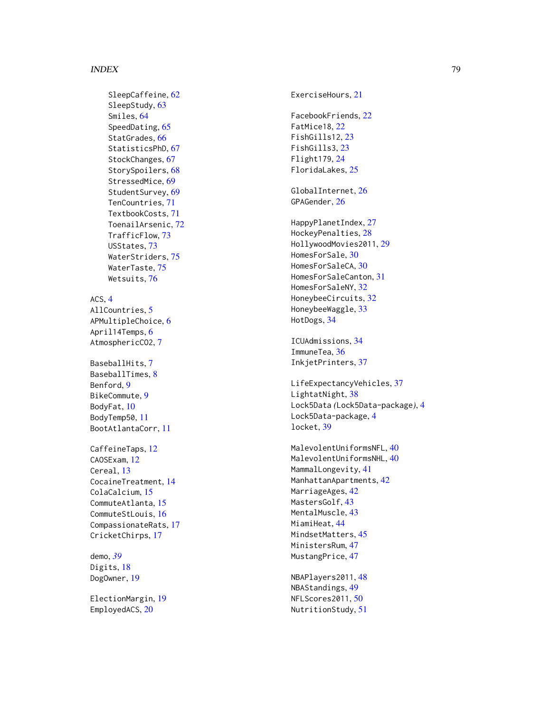#### INDEX 29

SleepCaffeine, [62](#page-61-0) SleepStudy , [63](#page-62-0) Smiles , [64](#page-63-0) SpeedDating , [65](#page-64-0) StatGrades, [66](#page-65-0) StatisticsPhD, [67](#page-66-0) StockChanges, [67](#page-66-0) StorySpoilers, [68](#page-67-0) StressedMice, [69](#page-68-0) StudentSurvey, [69](#page-68-0) TenCountries , [71](#page-70-0) TextbookCosts , [71](#page-70-0) ToenailArsenic , [72](#page-71-0) TrafficFlow , [73](#page-72-0) USStates , [73](#page-72-0) WaterStriders , [75](#page-74-0) WaterTaste, [75](#page-74-0) Wetsuits , [76](#page-75-0)

# ACS , [4](#page-3-0)

AllCountries, <mark>[5](#page-4-0)</mark> APMultipleChoice , [6](#page-5-0) April14Temps, <mark>[6](#page-5-0)</mark> AtmosphericCO2,[7](#page-6-0)

BaseballHits, [7](#page-6-0) BaseballTimes , [8](#page-7-0) Benford , [9](#page-8-0) BikeCommute , [9](#page-8-0) BodyFat , [10](#page-9-0) BodyTemp50 , [11](#page-10-0) BootAtlantaCorr , [11](#page-10-0)

CaffeineTaps, [12](#page-11-0) CAOSExam, [12](#page-11-0) Cereal, [13](#page-12-0) CocaineTreatment , [14](#page-13-0) ColaCalcium, [15](#page-14-0) CommuteAtlanta , [15](#page-14-0) CommuteStLouis , [16](#page-15-0) CompassionateRats , [17](#page-16-0) CricketChirps , [17](#page-16-0)

demo , *[39](#page-38-0)* Digits, [18](#page-17-0) DogOwner, [19](#page-18-0)

ElectionMargin , [19](#page-18-0) EmployedACS, [20](#page-19-0)

ExerciseHours, [21](#page-20-0) FacebookFriends , [22](#page-21-0) FatMice18 , [22](#page-21-0) FishGills12 , [23](#page-22-0) FishGills3 , [23](#page-22-0) Flight179 , [24](#page-23-0) FloridaLakes , [25](#page-24-0) GlobalInternet , [26](#page-25-0) GPAGender , [26](#page-25-0) HappyPlanetIndex , [27](#page-26-0) HockeyPenalties , [28](#page-27-0) HollywoodMovies2011 , [29](#page-28-0) HomesForSale, [30](#page-29-0) HomesForSaleCA, [30](#page-29-0) HomesForSaleCanton , [31](#page-30-0) HomesForSaleNY , [32](#page-31-0) HoneybeeCircuits , [32](#page-31-0) HoneybeeWaggle, [33](#page-32-0) HotDogs , [34](#page-33-0) ICUAdmissions , [34](#page-33-0) ImmuneTea, [36](#page-35-0) InkjetPrinters , [37](#page-36-0) LifeExpectancyVehicles, [37](#page-36-0)

LightatNight, [38](#page-37-0) Lock5Data *(*Lock5Data-package *)* , [4](#page-3-0) Lock5Data-package , [4](#page-3-0) locket , [39](#page-38-0)

<code>MalevolentUniformsNFL,[40](#page-39-0)</code> <code>MalevolentUniformsNHL,[40](#page-39-0)</code> MammalLongevity , [41](#page-40-0) ManhattanApartments , [42](#page-41-0) MarriageAges, [42](#page-41-0) MastersGolf, [43](#page-42-0) MentalMuscle, [43](#page-42-0) MiamiHeat, [44](#page-43-0) MindsetMatters, [45](#page-44-0) MinistersRum , [47](#page-46-0) MustangPrice, [47](#page-46-0)

NBAPlayers2011 , [48](#page-47-0) NBAStandings , [49](#page-48-0) NFLScores2011 , [50](#page-49-0) NutritionStudy , [51](#page-50-0)